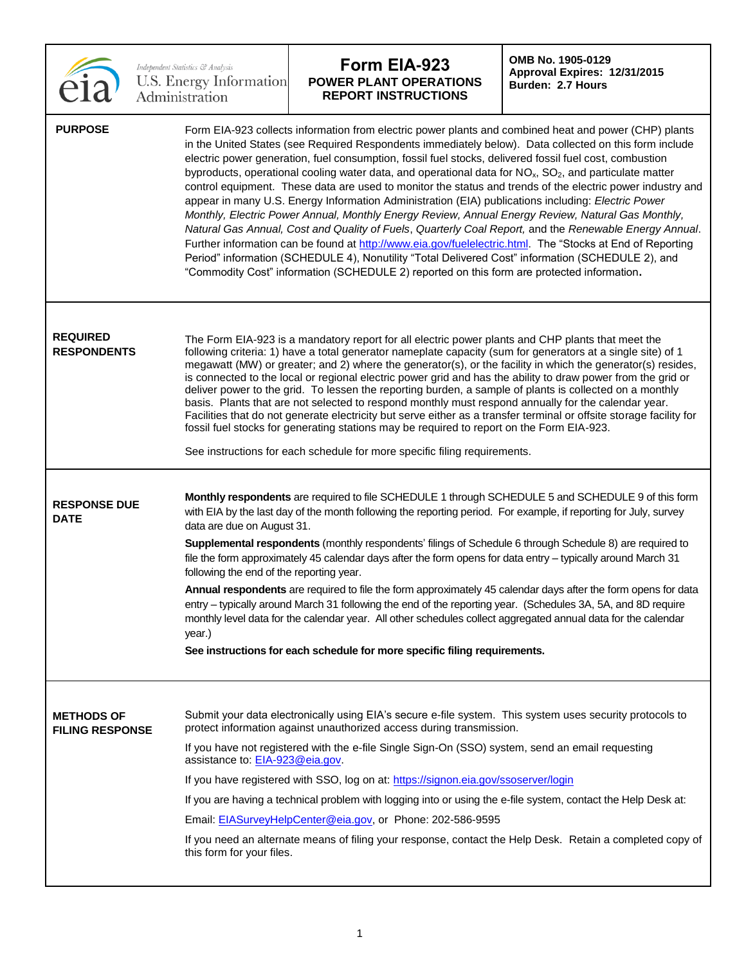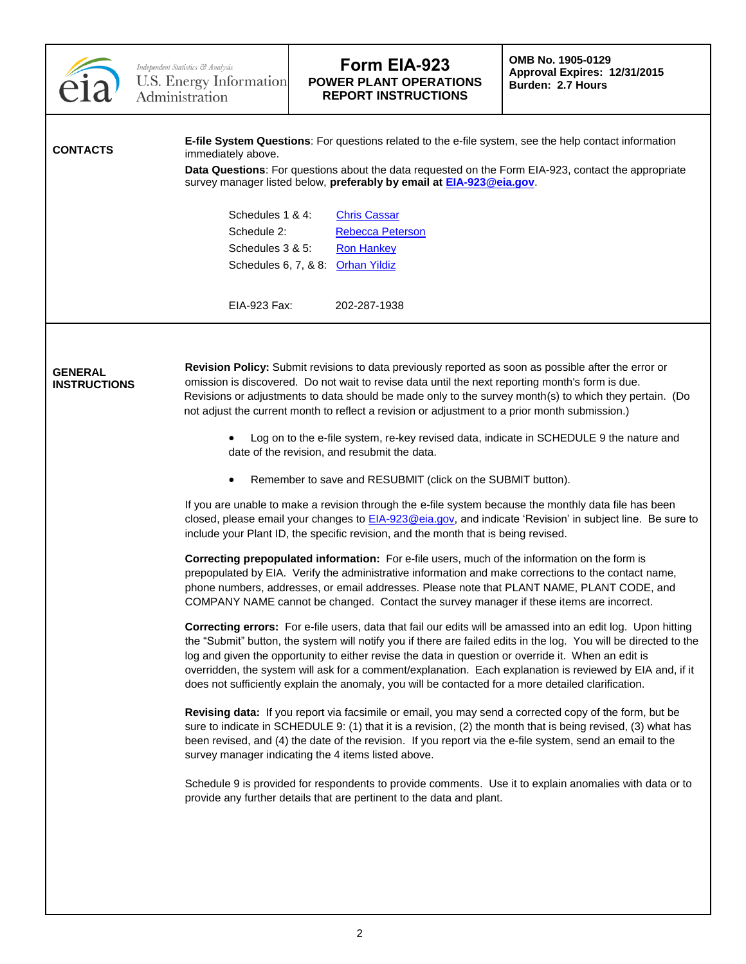|                                       | Independent Statistics & Analysis<br>U.S. Energy Information<br>Administration | Form EIA-923<br><b>POWER PLANT OPERATIONS</b><br><b>REPORT INSTRUCTIONS</b>                                                                                                                                                                                                                                                                                                                                                                                                                                                                                     | OMB No. 1905-0129<br>Approval Expires: 12/31/2015<br><b>Burden: 2.7 Hours</b> |  |
|---------------------------------------|--------------------------------------------------------------------------------|-----------------------------------------------------------------------------------------------------------------------------------------------------------------------------------------------------------------------------------------------------------------------------------------------------------------------------------------------------------------------------------------------------------------------------------------------------------------------------------------------------------------------------------------------------------------|-------------------------------------------------------------------------------|--|
| <b>CONTACTS</b>                       | immediately above.                                                             | E-file System Questions: For questions related to the e-file system, see the help contact information<br>Data Questions: For questions about the data requested on the Form EIA-923, contact the appropriate<br>survey manager listed below, preferably by email at <b>EIA-923@eia.gov</b> .                                                                                                                                                                                                                                                                    |                                                                               |  |
|                                       | Schedules 1 & 4:<br>Schedule 2:<br>Schedules 3 & 5:                            | <b>Chris Cassar</b><br><b>Rebecca Peterson</b><br><b>Ron Hankey</b><br>Schedules 6, 7, & 8: Orhan Yildiz                                                                                                                                                                                                                                                                                                                                                                                                                                                        |                                                                               |  |
|                                       | EIA-923 Fax:                                                                   | 202-287-1938                                                                                                                                                                                                                                                                                                                                                                                                                                                                                                                                                    |                                                                               |  |
| <b>GENERAL</b><br><b>INSTRUCTIONS</b> |                                                                                | Revision Policy: Submit revisions to data previously reported as soon as possible after the error or<br>omission is discovered. Do not wait to revise data until the next reporting month's form is due.<br>Revisions or adjustments to data should be made only to the survey month(s) to which they pertain. (Do<br>not adjust the current month to reflect a revision or adjustment to a prior month submission.)<br>Log on to the e-file system, re-key revised data, indicate in SCHEDULE 9 the nature and<br>date of the revision, and resubmit the data. |                                                                               |  |
|                                       |                                                                                | Remember to save and RESUBMIT (click on the SUBMIT button).                                                                                                                                                                                                                                                                                                                                                                                                                                                                                                     |                                                                               |  |
|                                       |                                                                                | If you are unable to make a revision through the e-file system because the monthly data file has been<br>closed, please email your changes to <b>EIA-923@eia.gov</b> , and indicate 'Revision' in subject line. Be sure to<br>include your Plant ID, the specific revision, and the month that is being revised.                                                                                                                                                                                                                                                |                                                                               |  |
|                                       |                                                                                | Correcting prepopulated information: For e-file users, much of the information on the form is<br>prepopulated by EIA. Verify the administrative information and make corrections to the contact name,<br>phone numbers, addresses, or email addresses. Please note that PLANT NAME, PLANT CODE, and<br>COMPANY NAME cannot be changed. Contact the survey manager if these items are incorrect.                                                                                                                                                                 |                                                                               |  |
|                                       |                                                                                | Correcting errors: For e-file users, data that fail our edits will be amassed into an edit log. Upon hitting<br>the "Submit" button, the system will notify you if there are failed edits in the log. You will be directed to the<br>log and given the opportunity to either revise the data in question or override it. When an edit is<br>overridden, the system will ask for a comment/explanation. Each explanation is reviewed by EIA and, if it<br>does not sufficiently explain the anomaly, you will be contacted for a more detailed clarification.    |                                                                               |  |
|                                       |                                                                                | Revising data: If you report via facsimile or email, you may send a corrected copy of the form, but be<br>sure to indicate in SCHEDULE 9: (1) that it is a revision, (2) the month that is being revised, (3) what has<br>been revised, and (4) the date of the revision. If you report via the e-file system, send an email to the<br>survey manager indicating the 4 items listed above.                                                                                                                                                                      |                                                                               |  |
|                                       |                                                                                | Schedule 9 is provided for respondents to provide comments. Use it to explain anomalies with data or to<br>provide any further details that are pertinent to the data and plant.                                                                                                                                                                                                                                                                                                                                                                                |                                                                               |  |
|                                       |                                                                                |                                                                                                                                                                                                                                                                                                                                                                                                                                                                                                                                                                 |                                                                               |  |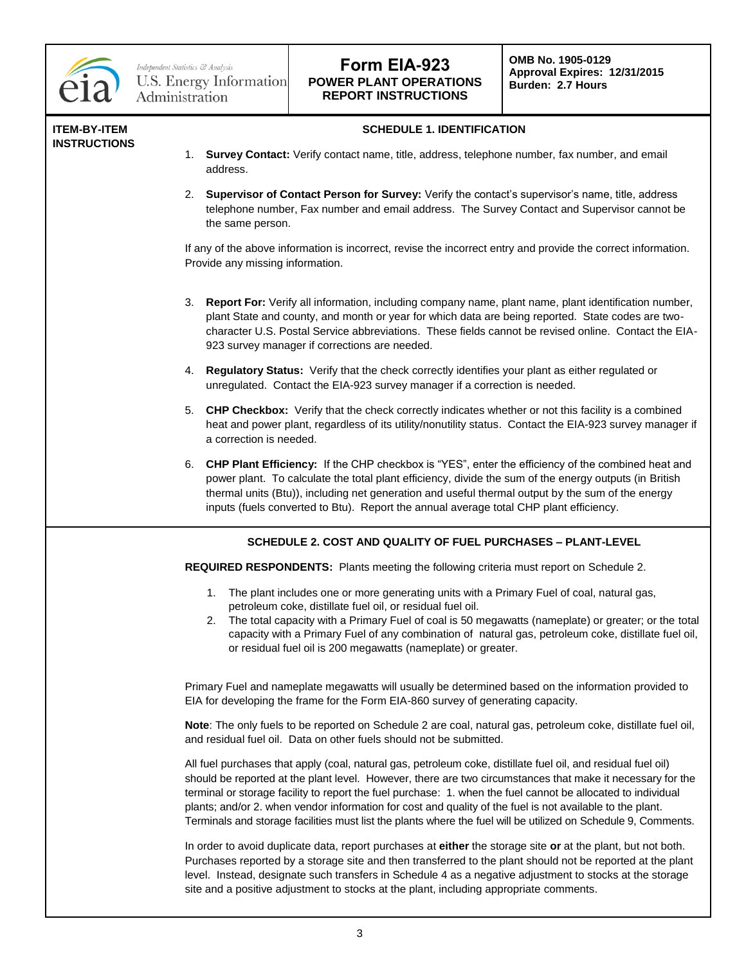

#### **ITEM-BY-ITEM INSTRUCTIONS**

- **SCHEDULE 1. IDENTIFICATION**
- 1. **Survey Contact:** Verify contact name, title, address, telephone number, fax number, and email address.
- 2. **Supervisor of Contact Person for Survey:** Verify the contact's supervisor's name, title, address telephone number, Fax number and email address. The Survey Contact and Supervisor cannot be the same person.

If any of the above information is incorrect, revise the incorrect entry and provide the correct information. Provide any missing information.

- 3. **Report For:** Verify all information, including company name, plant name, plant identification number, plant State and county, and month or year for which data are being reported. State codes are twocharacter U.S. Postal Service abbreviations. These fields cannot be revised online. Contact the EIA-923 survey manager if corrections are needed.
- 4. **Regulatory Status:** Verify that the check correctly identifies your plant as either regulated or unregulated. Contact the EIA-923 survey manager if a correction is needed.
- 5. **CHP Checkbox:** Verify that the check correctly indicates whether or not this facility is a combined heat and power plant, regardless of its utility/nonutility status. Contact the EIA-923 survey manager if a correction is needed.
- 6. **CHP Plant Efficiency:** If the CHP checkbox is "YES", enter the efficiency of the combined heat and power plant. To calculate the total plant efficiency, divide the sum of the energy outputs (in British thermal units (Btu)), including net generation and useful thermal output by the sum of the energy inputs (fuels converted to Btu). Report the annual average total CHP plant efficiency.

## **SCHEDULE 2. COST AND QUALITY OF FUEL PURCHASES – PLANT-LEVEL**

**REQUIRED RESPONDENTS:** Plants meeting the following criteria must report on Schedule 2.

- 1. The plant includes one or more generating units with a Primary Fuel of coal, natural gas, petroleum coke, distillate fuel oil, or residual fuel oil.
- 2. The total capacity with a Primary Fuel of coal is 50 megawatts (nameplate) or greater; or the total capacity with a Primary Fuel of any combination of natural gas, petroleum coke, distillate fuel oil, or residual fuel oil is 200 megawatts (nameplate) or greater.

Primary Fuel and nameplate megawatts will usually be determined based on the information provided to EIA for developing the frame for the Form EIA-860 survey of generating capacity.

**Note**: The only fuels to be reported on Schedule 2 are coal, natural gas, petroleum coke, distillate fuel oil, and residual fuel oil. Data on other fuels should not be submitted.

All fuel purchases that apply (coal, natural gas, petroleum coke, distillate fuel oil, and residual fuel oil) should be reported at the plant level. However, there are two circumstances that make it necessary for the terminal or storage facility to report the fuel purchase: 1. when the fuel cannot be allocated to individual plants; and/or 2. when vendor information for cost and quality of the fuel is not available to the plant. Terminals and storage facilities must list the plants where the fuel will be utilized on Schedule 9, Comments.

In order to avoid duplicate data, report purchases at **either** the storage site **or** at the plant, but not both. Purchases reported by a storage site and then transferred to the plant should not be reported at the plant level. Instead, designate such transfers in Schedule 4 as a negative adjustment to stocks at the storage site and a positive adjustment to stocks at the plant, including appropriate comments.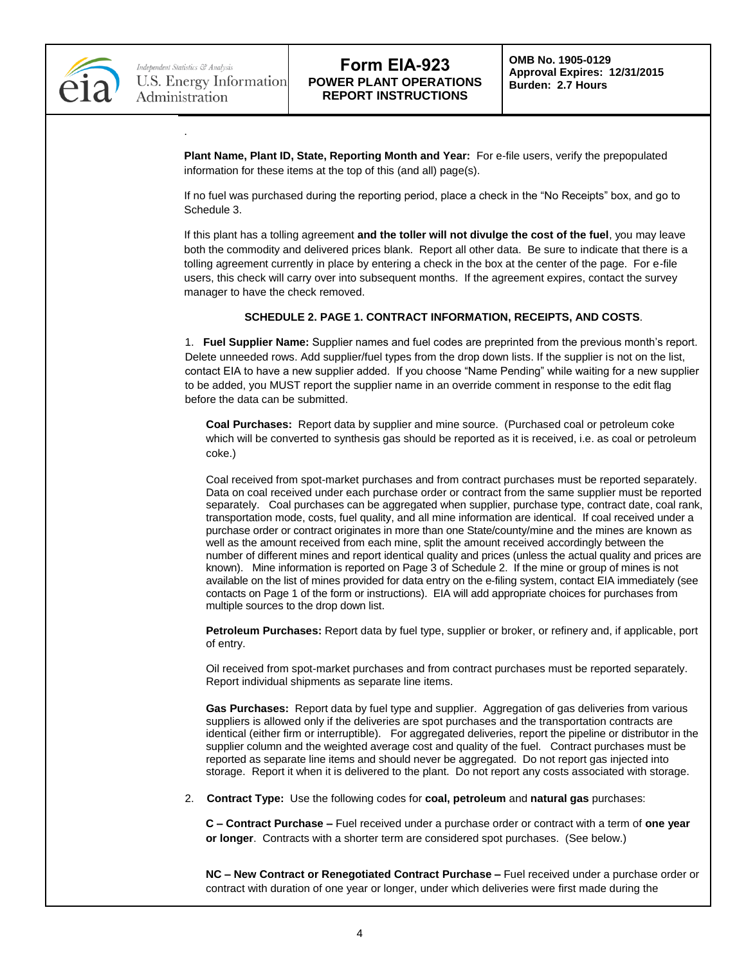

.

**Plant Name, Plant ID, State, Reporting Month and Year:** For e-file users, verify the prepopulated information for these items at the top of this (and all) page(s).

If no fuel was purchased during the reporting period, place a check in the "No Receipts" box, and go to Schedule 3.

If this plant has a tolling agreement **and the toller will not divulge the cost of the fuel**, you may leave both the commodity and delivered prices blank. Report all other data. Be sure to indicate that there is a tolling agreement currently in place by entering a check in the box at the center of the page. For e-file users, this check will carry over into subsequent months. If the agreement expires, contact the survey manager to have the check removed.

### **SCHEDULE 2. PAGE 1. CONTRACT INFORMATION, RECEIPTS, AND COSTS**.

1. **Fuel Supplier Name:** Supplier names and fuel codes are preprinted from the previous month's report. Delete unneeded rows. Add supplier/fuel types from the drop down lists. If the supplier is not on the list, contact EIA to have a new supplier added. If you choose "Name Pending" while waiting for a new supplier to be added, you MUST report the supplier name in an override comment in response to the edit flag before the data can be submitted.

**Coal Purchases:** Report data by supplier and mine source. (Purchased coal or petroleum coke which will be converted to synthesis gas should be reported as it is received, i.e. as coal or petroleum coke.)

Coal received from spot-market purchases and from contract purchases must be reported separately. Data on coal received under each purchase order or contract from the same supplier must be reported separately. Coal purchases can be aggregated when supplier, purchase type, contract date, coal rank, transportation mode, costs, fuel quality, and all mine information are identical. If coal received under a purchase order or contract originates in more than one State/county/mine and the mines are known as well as the amount received from each mine, split the amount received accordingly between the number of different mines and report identical quality and prices (unless the actual quality and prices are known). Mine information is reported on Page 3 of Schedule 2. If the mine or group of mines is not available on the list of mines provided for data entry on the e-filing system, contact EIA immediately (see contacts on Page 1 of the form or instructions). EIA will add appropriate choices for purchases from multiple sources to the drop down list.

**Petroleum Purchases:** Report data by fuel type, supplier or broker, or refinery and, if applicable, port of entry.

Oil received from spot-market purchases and from contract purchases must be reported separately. Report individual shipments as separate line items.

**Gas Purchases:** Report data by fuel type and supplier. Aggregation of gas deliveries from various suppliers is allowed only if the deliveries are spot purchases and the transportation contracts are identical (either firm or interruptible). For aggregated deliveries, report the pipeline or distributor in the supplier column and the weighted average cost and quality of the fuel. Contract purchases must be reported as separate line items and should never be aggregated. Do not report gas injected into storage. Report it when it is delivered to the plant. Do not report any costs associated with storage.

2. **Contract Type:** Use the following codes for **coal, petroleum** and **natural gas** purchases:

**C – Contract Purchase –** Fuel received under a purchase order or contract with a term of **one year or longer**. Contracts with a shorter term are considered spot purchases. (See below.)

**NC – New Contract or Renegotiated Contract Purchase –** Fuel received under a purchase order or contract with duration of one year or longer, under which deliveries were first made during the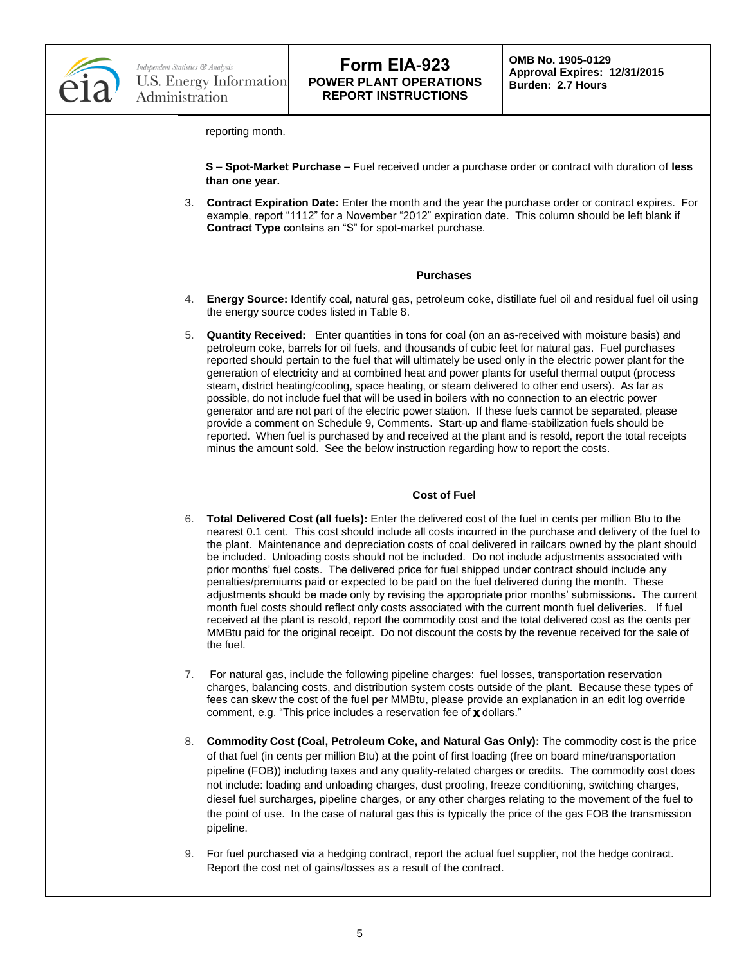

**OMB No. 1905-0129 Approval Expires: 12/31/2015 Burden: 2.7 Hours**

reporting month.

**S – Spot-Market Purchase –** Fuel received under a purchase order or contract with duration of **less than one year.**

3. **Contract Expiration Date:** Enter the month and the year the purchase order or contract expires. For example, report "1112" for a November "2012" expiration date. This column should be left blank if **Contract Type** contains an "S" for spot-market purchase.

#### **Purchases**

- 4. **Energy Source:** Identify coal, natural gas, petroleum coke, distillate fuel oil and residual fuel oil using the energy source codes listed in Table 8.
- 5. **Quantity Received:** Enter quantities in tons for coal (on an as-received with moisture basis) and petroleum coke, barrels for oil fuels, and thousands of cubic feet for natural gas. Fuel purchases reported should pertain to the fuel that will ultimately be used only in the electric power plant for the generation of electricity and at combined heat and power plants for useful thermal output (process steam, district heating/cooling, space heating, or steam delivered to other end users). As far as possible, do not include fuel that will be used in boilers with no connection to an electric power generator and are not part of the electric power station. If these fuels cannot be separated, please provide a comment on Schedule 9, Comments. Start-up and flame-stabilization fuels should be reported. When fuel is purchased by and received at the plant and is resold, report the total receipts minus the amount sold. See the below instruction regarding how to report the costs.

#### **Cost of Fuel**

- 6. **Total Delivered Cost (all fuels):** Enter the delivered cost of the fuel in cents per million Btu to the nearest 0.1 cent. This cost should include all costs incurred in the purchase and delivery of the fuel to the plant. Maintenance and depreciation costs of coal delivered in railcars owned by the plant should be included. Unloading costs should not be included. Do not include adjustments associated with prior months' fuel costs. The delivered price for fuel shipped under contract should include any penalties/premiums paid or expected to be paid on the fuel delivered during the month. These adjustments should be made only by revising the appropriate prior months' submissions**.** The current month fuel costs should reflect only costs associated with the current month fuel deliveries. If fuel received at the plant is resold, report the commodity cost and the total delivered cost as the cents per MMBtu paid for the original receipt. Do not discount the costs by the revenue received for the sale of the fuel.
- 7. For natural gas, include the following pipeline charges: fuel losses, transportation reservation charges, balancing costs, and distribution system costs outside of the plant. Because these types of fees can skew the cost of the fuel per MMBtu, please provide an explanation in an edit log override comment, e.g. "This price includes a reservation fee of  $x$  dollars."
- 8. **Commodity Cost (Coal, Petroleum Coke, and Natural Gas Only):** The commodity cost is the price of that fuel (in cents per million Btu) at the point of first loading (free on board mine/transportation pipeline (FOB)) including taxes and any quality-related charges or credits. The commodity cost does not include: loading and unloading charges, dust proofing, freeze conditioning, switching charges, diesel fuel surcharges, pipeline charges, or any other charges relating to the movement of the fuel to the point of use. In the case of natural gas this is typically the price of the gas FOB the transmission pipeline.
- 9. For fuel purchased via a hedging contract, report the actual fuel supplier, not the hedge contract. Report the cost net of gains/losses as a result of the contract.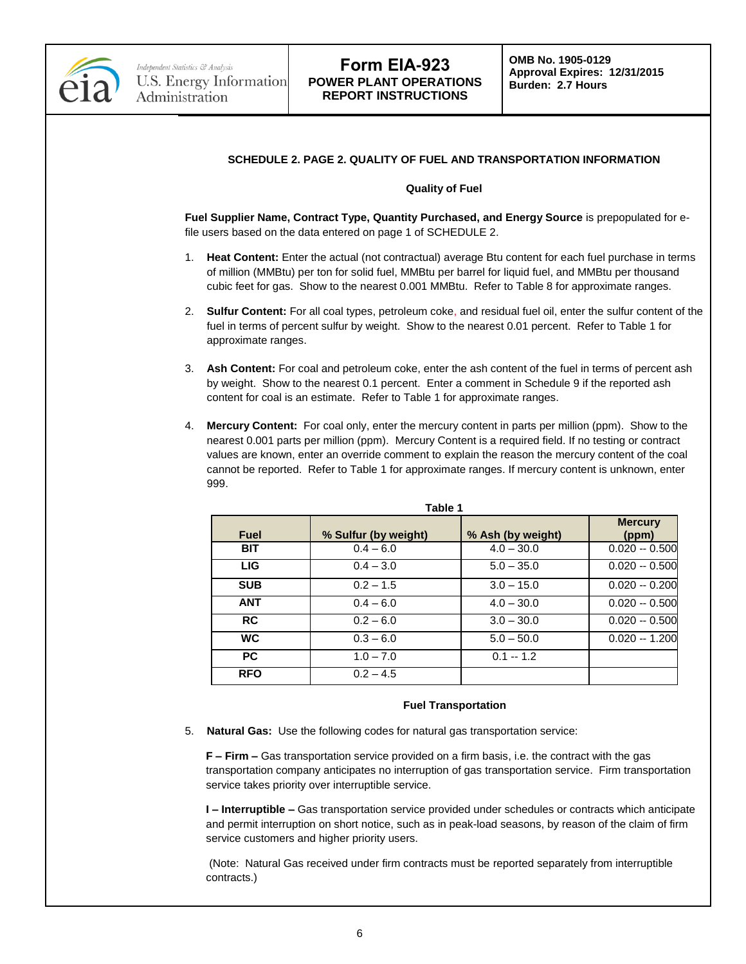

### **SCHEDULE 2. PAGE 2. QUALITY OF FUEL AND TRANSPORTATION INFORMATION**

#### **Quality of Fuel**

**Fuel Supplier Name, Contract Type, Quantity Purchased, and Energy Source** is prepopulated for efile users based on the data entered on page 1 of SCHEDULE 2.

- 1. **Heat Content:** Enter the actual (not contractual) average Btu content for each fuel purchase in terms of million (MMBtu) per ton for solid fuel, MMBtu per barrel for liquid fuel, and MMBtu per thousand cubic feet for gas. Show to the nearest 0.001 MMBtu. Refer to Table 8 for approximate ranges.
- 2. **Sulfur Content:** For all coal types, petroleum coke, and residual fuel oil, enter the sulfur content of the fuel in terms of percent sulfur by weight. Show to the nearest 0.01 percent. Refer to Table 1 for approximate ranges.
- 3. **Ash Content:** For coal and petroleum coke, enter the ash content of the fuel in terms of percent ash by weight. Show to the nearest 0.1 percent. Enter a comment in Schedule 9 if the reported ash content for coal is an estimate. Refer to Table 1 for approximate ranges.
- 4. **Mercury Content:** For coal only, enter the mercury content in parts per million (ppm). Show to the nearest 0.001 parts per million (ppm). Mercury Content is a required field. If no testing or contract values are known, enter an override comment to explain the reason the mercury content of the coal cannot be reported. Refer to Table 1 for approximate ranges. If mercury content is unknown, enter 999.

| Table 1     |                      |                   |                         |  |  |  |
|-------------|----------------------|-------------------|-------------------------|--|--|--|
| <b>Fuel</b> | % Sulfur (by weight) | % Ash (by weight) | <b>Mercury</b><br>(ppm) |  |  |  |
| <b>BIT</b>  | $0.4 - 6.0$          | $4.0 - 30.0$      | $0.020 - 0.500$         |  |  |  |
| LIG.        | $0.4 - 3.0$          | $5.0 - 35.0$      | $0.020 - 0.500$         |  |  |  |
| <b>SUB</b>  | $0.2 - 1.5$          | $3.0 - 15.0$      | $0.020 - 0.200$         |  |  |  |
| <b>ANT</b>  | $0.4 - 6.0$          | $4.0 - 30.0$      | $0.020 - 0.500$         |  |  |  |
| <b>RC</b>   | $0.2 - 6.0$          | $3.0 - 30.0$      | $0.020 - 0.500$         |  |  |  |
| <b>WC</b>   | $0.3 - 6.0$          | $5.0 - 50.0$      | $0.020 - 1.200$         |  |  |  |
| <b>PC</b>   | $1.0 - 7.0$          | $0.1 - 1.2$       |                         |  |  |  |
| <b>RFO</b>  | $0.2 - 4.5$          |                   |                         |  |  |  |

#### **Fuel Transportation**

5. **Natural Gas:** Use the following codes for natural gas transportation service:

**F – Firm –** Gas transportation service provided on a firm basis, i.e. the contract with the gas transportation company anticipates no interruption of gas transportation service. Firm transportation service takes priority over interruptible service.

**I – Interruptible –** Gas transportation service provided under schedules or contracts which anticipate and permit interruption on short notice, such as in peak-load seasons, by reason of the claim of firm service customers and higher priority users.

(Note: Natural Gas received under firm contracts must be reported separately from interruptible contracts.)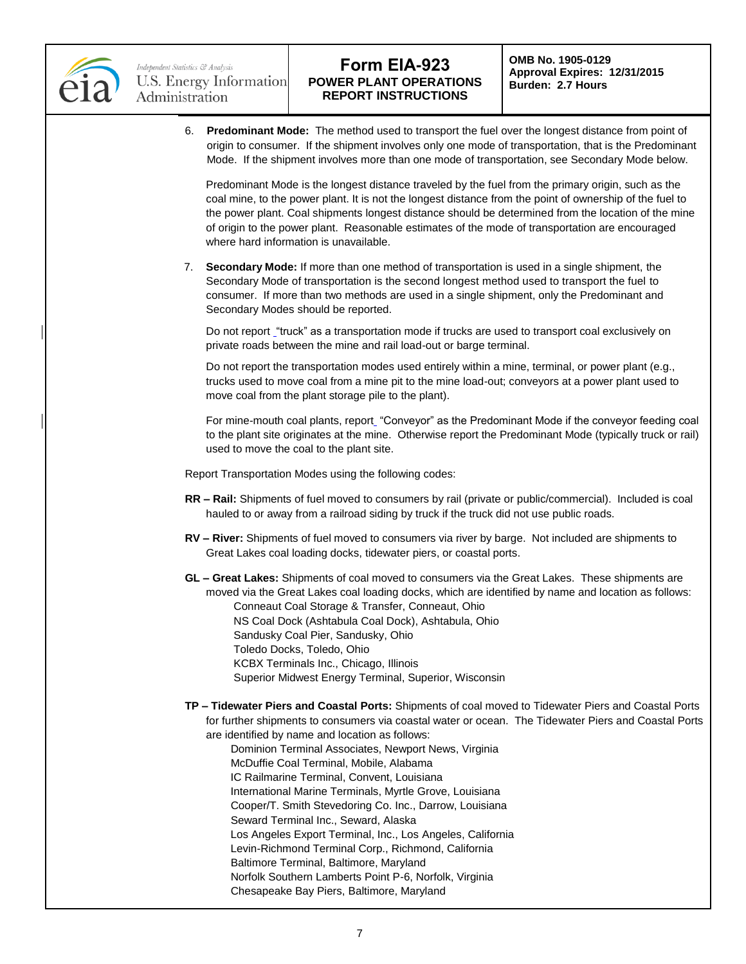

6. **Predominant Mode:** The method used to transport the fuel over the longest distance from point of origin to consumer. If the shipment involves only one mode of transportation, that is the Predominant Mode. If the shipment involves more than one mode of transportation, see Secondary Mode below.

Predominant Mode is the longest distance traveled by the fuel from the primary origin, such as the coal mine, to the power plant. It is not the longest distance from the point of ownership of the fuel to the power plant. Coal shipments longest distance should be determined from the location of the mine of origin to the power plant. Reasonable estimates of the mode of transportation are encouraged where hard information is unavailable.

7. **Secondary Mode:** If more than one method of transportation is used in a single shipment, the Secondary Mode of transportation is the second longest method used to transport the fuel to consumer. If more than two methods are used in a single shipment, only the Predominant and Secondary Modes should be reported.

Do not report "truck" as a transportation mode if trucks are used to transport coal exclusively on private roads between the mine and rail load-out or barge terminal.

Do not report the transportation modes used entirely within a mine, terminal, or power plant (e.g., trucks used to move coal from a mine pit to the mine load-out; conveyors at a power plant used to move coal from the plant storage pile to the plant).

For mine-mouth coal plants, report "Conveyor" as the Predominant Mode if the conveyor feeding coal to the plant site originates at the mine. Otherwise report the Predominant Mode (typically truck or rail) used to move the coal to the plant site.

Report Transportation Modes using the following codes:

- **RR – Rail:** Shipments of fuel moved to consumers by rail (private or public/commercial). Included is coal hauled to or away from a railroad siding by truck if the truck did not use public roads.
- **RV – River:** Shipments of fuel moved to consumers via river by barge. Not included are shipments to Great Lakes coal loading docks, tidewater piers, or coastal ports.
- **GL – Great Lakes:** Shipments of coal moved to consumers via the Great Lakes. These shipments are moved via the Great Lakes coal loading docks, which are identified by name and location as follows: Conneaut Coal Storage & Transfer, Conneaut, Ohio NS Coal Dock (Ashtabula Coal Dock), Ashtabula, Ohio Sandusky Coal Pier, Sandusky, Ohio Toledo Docks, Toledo, Ohio KCBX Terminals Inc., Chicago, Illinois Superior Midwest Energy Terminal, Superior, Wisconsin
- **TP – Tidewater Piers and Coastal Ports:** Shipments of coal moved to Tidewater Piers and Coastal Ports for further shipments to consumers via coastal water or ocean. The Tidewater Piers and Coastal Ports are identified by name and location as follows:
	- Dominion Terminal Associates, Newport News, Virginia McDuffie Coal Terminal, Mobile, Alabama IC Railmarine Terminal, Convent, Louisiana International Marine Terminals, Myrtle Grove, Louisiana Cooper/T. Smith Stevedoring Co. Inc., Darrow, Louisiana Seward Terminal Inc., Seward, Alaska Los Angeles Export Terminal, Inc., Los Angeles, California Levin-Richmond Terminal Corp., Richmond, California Baltimore Terminal, Baltimore, Maryland Norfolk Southern Lamberts Point P-6, Norfolk, Virginia Chesapeake Bay Piers, Baltimore, Maryland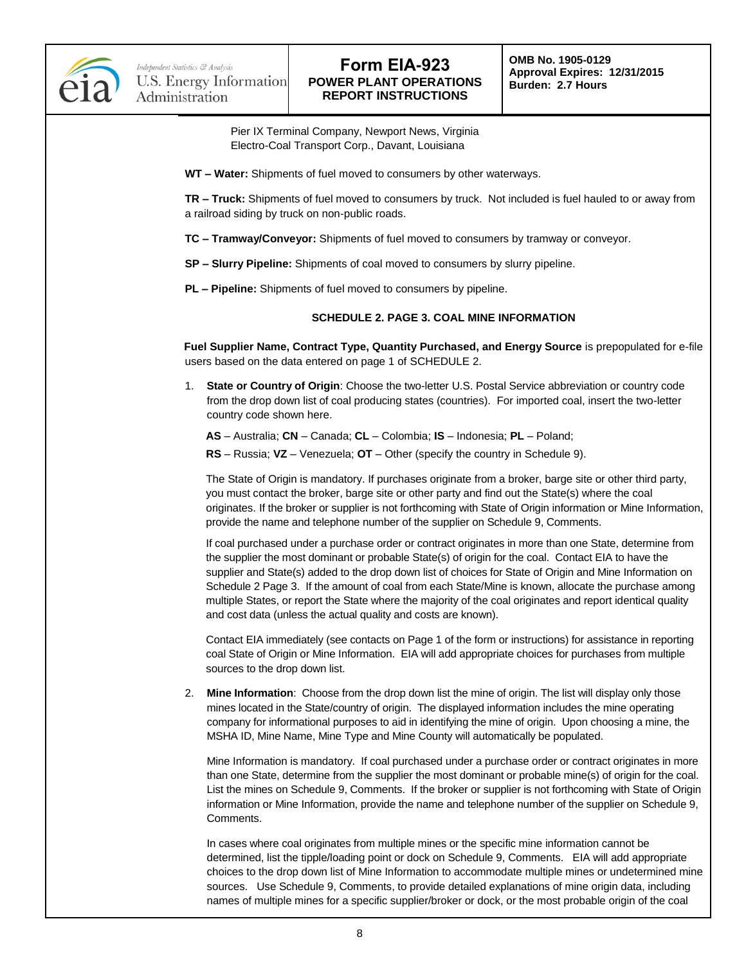

**OMB No. 1905-0129 Approval Expires: 12/31/2015 Burden: 2.7 Hours**

 Pier IX Terminal Company, Newport News, Virginia Electro-Coal Transport Corp., Davant, Louisiana

**WT – Water:** Shipments of fuel moved to consumers by other waterways.

**TR – Truck:** Shipments of fuel moved to consumers by truck. Not included is fuel hauled to or away from a railroad siding by truck on non-public roads.

- **TC – Tramway/Conveyor:** Shipments of fuel moved to consumers by tramway or conveyor.
- **SP – Slurry Pipeline:** Shipments of coal moved to consumers by slurry pipeline.
- **PL – Pipeline:** Shipments of fuel moved to consumers by pipeline.

#### **SCHEDULE 2. PAGE 3. COAL MINE INFORMATION**

**Fuel Supplier Name, Contract Type, Quantity Purchased, and Energy Source** is prepopulated for e-file users based on the data entered on page 1 of SCHEDULE 2.

1. **State or Country of Origin**: Choose the two-letter U.S. Postal Service abbreviation or country code from the drop down list of coal producing states (countries). For imported coal, insert the two-letter country code shown here.

**AS** – Australia; **CN** – Canada; **CL** – Colombia; **IS** – Indonesia; **PL** – Poland;

**RS** – Russia; **VZ** – Venezuela; **OT** – Other (specify the country in Schedule 9).

The State of Origin is mandatory. If purchases originate from a broker, barge site or other third party, you must contact the broker, barge site or other party and find out the State(s) where the coal originates. If the broker or supplier is not forthcoming with State of Origin information or Mine Information, provide the name and telephone number of the supplier on Schedule 9, Comments.

If coal purchased under a purchase order or contract originates in more than one State, determine from the supplier the most dominant or probable State(s) of origin for the coal. Contact EIA to have the supplier and State(s) added to the drop down list of choices for State of Origin and Mine Information on Schedule 2 Page 3. If the amount of coal from each State/Mine is known, allocate the purchase among multiple States, or report the State where the majority of the coal originates and report identical quality and cost data (unless the actual quality and costs are known).

Contact EIA immediately (see contacts on Page 1 of the form or instructions) for assistance in reporting coal State of Origin or Mine Information. EIA will add appropriate choices for purchases from multiple sources to the drop down list.

2. **Mine Information**: Choose from the drop down list the mine of origin. The list will display only those mines located in the State/country of origin. The displayed information includes the mine operating company for informational purposes to aid in identifying the mine of origin. Upon choosing a mine, the MSHA ID, Mine Name, Mine Type and Mine County will automatically be populated.

Mine Information is mandatory. If coal purchased under a purchase order or contract originates in more than one State, determine from the supplier the most dominant or probable mine(s) of origin for the coal. List the mines on Schedule 9, Comments. If the broker or supplier is not forthcoming with State of Origin information or Mine Information, provide the name and telephone number of the supplier on Schedule 9, Comments.

In cases where coal originates from multiple mines or the specific mine information cannot be determined, list the tipple/loading point or dock on Schedule 9, Comments. EIA will add appropriate choices to the drop down list of Mine Information to accommodate multiple mines or undetermined mine sources. Use Schedule 9, Comments, to provide detailed explanations of mine origin data, including names of multiple mines for a specific supplier/broker or dock, or the most probable origin of the coal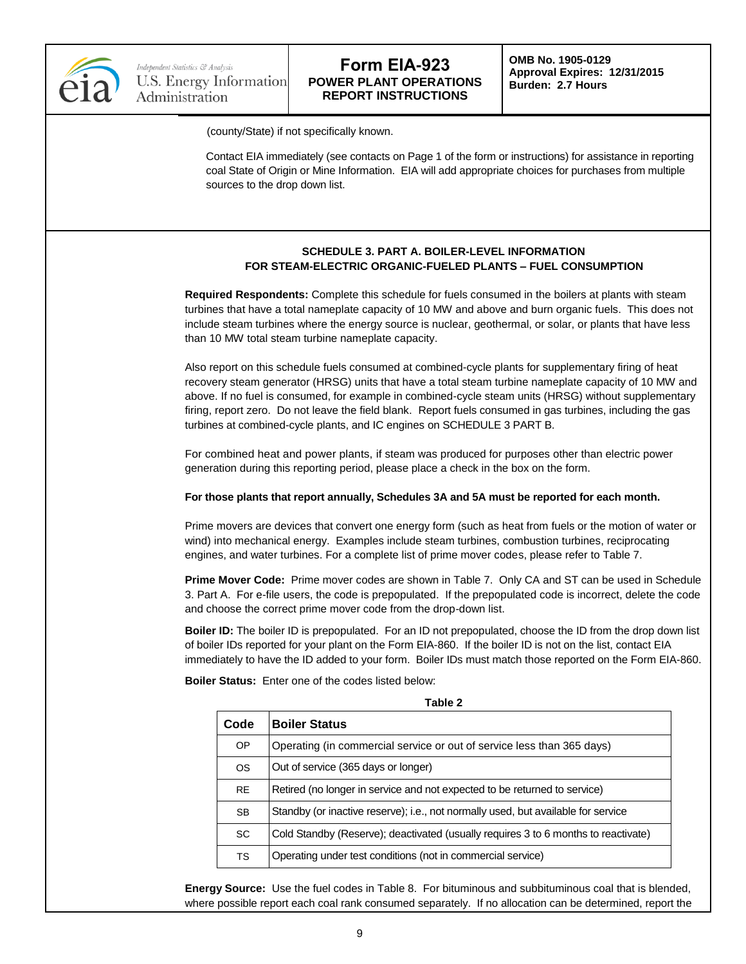

**OMB No. 1905-0129 Approval Expires: 12/31/2015 Burden: 2.7 Hours**

(county/State) if not specifically known.

Contact EIA immediately (see contacts on Page 1 of the form or instructions) for assistance in reporting coal State of Origin or Mine Information. EIA will add appropriate choices for purchases from multiple sources to the drop down list.

### **SCHEDULE 3. PART A. BOILER-LEVEL INFORMATION FOR STEAM-ELECTRIC ORGANIC-FUELED PLANTS – FUEL CONSUMPTION**

**Required Respondents:** Complete this schedule for fuels consumed in the boilers at plants with steam turbines that have a total nameplate capacity of 10 MW and above and burn organic fuels. This does not include steam turbines where the energy source is nuclear, geothermal, or solar, or plants that have less than 10 MW total steam turbine nameplate capacity.

Also report on this schedule fuels consumed at combined-cycle plants for supplementary firing of heat recovery steam generator (HRSG) units that have a total steam turbine nameplate capacity of 10 MW and above. If no fuel is consumed, for example in combined-cycle steam units (HRSG) without supplementary firing, report zero. Do not leave the field blank. Report fuels consumed in gas turbines, including the gas turbines at combined-cycle plants, and IC engines on SCHEDULE 3 PART B.

For combined heat and power plants, if steam was produced for purposes other than electric power generation during this reporting period, please place a check in the box on the form.

### **For those plants that report annually, Schedules 3A and 5A must be reported for each month.**

Prime movers are devices that convert one energy form (such as heat from fuels or the motion of water or wind) into mechanical energy. Examples include steam turbines, combustion turbines, reciprocating engines, and water turbines. For a complete list of prime mover codes, please refer to Table 7.

**Prime Mover Code:** Prime mover codes are shown in Table 7. Only CA and ST can be used in Schedule 3. Part A. For e-file users, the code is prepopulated. If the prepopulated code is incorrect, delete the code and choose the correct prime mover code from the drop-down list.

**Boiler ID:** The boiler ID is prepopulated. For an ID not prepopulated, choose the ID from the drop down list of boiler IDs reported for your plant on the Form EIA-860. If the boiler ID is not on the list, contact EIA immediately to have the ID added to your form. Boiler IDs must match those reported on the Form EIA-860.

**Table 2**

**Boiler Status:** Enter one of the codes listed below:

| TANIE Z   |                                                                                    |  |  |  |
|-----------|------------------------------------------------------------------------------------|--|--|--|
| Code      | <b>Boiler Status</b>                                                               |  |  |  |
| OP        | Operating (in commercial service or out of service less than 365 days)             |  |  |  |
| <b>OS</b> | Out of service (365 days or longer)                                                |  |  |  |
| <b>RE</b> | Retired (no longer in service and not expected to be returned to service)          |  |  |  |
| <b>SB</b> | Standby (or inactive reserve); i.e., not normally used, but available for service  |  |  |  |
| <b>SC</b> | Cold Standby (Reserve); deactivated (usually requires 3 to 6 months to reactivate) |  |  |  |
| <b>TS</b> | Operating under test conditions (not in commercial service)                        |  |  |  |

**Energy Source:** Use the fuel codes in Table 8. For bituminous and subbituminous coal that is blended, where possible report each coal rank consumed separately. If no allocation can be determined, report the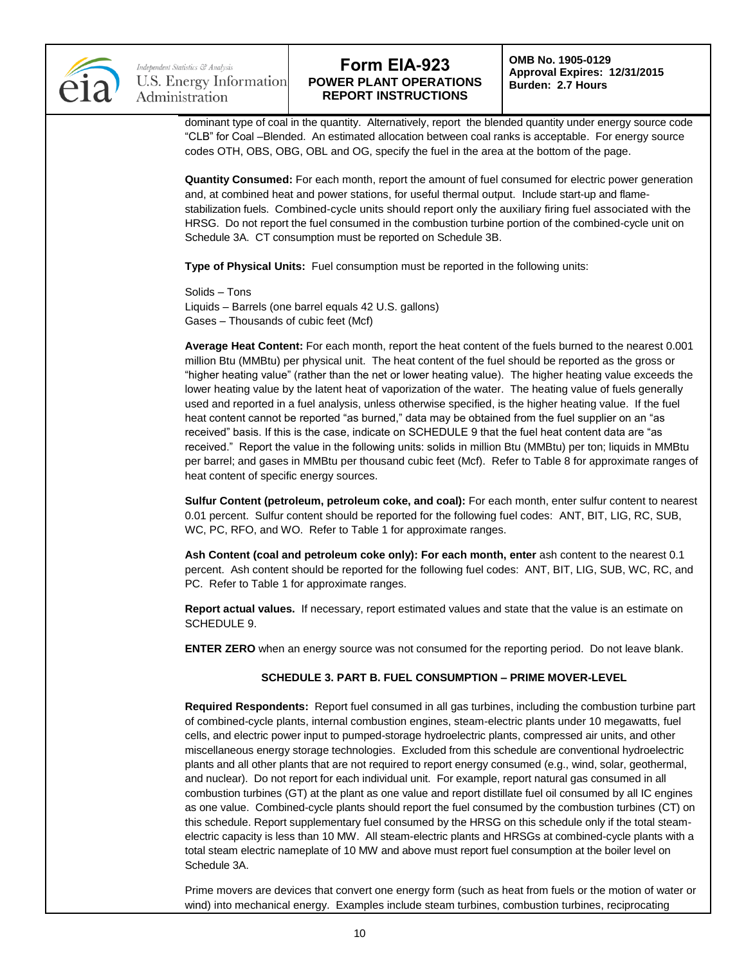

Independent Statistics & Analysis U.S. Energy Information Administration

## **Form EIA-923 POWER PLANT OPERATIONS REPORT INSTRUCTIONS**

**OMB No. 1905-0129 Approval Expires: 12/31/2015 Burden: 2.7 Hours**

dominant type of coal in the quantity. Alternatively, report the blended quantity under energy source code "CLB" for Coal –Blended. An estimated allocation between coal ranks is acceptable. For energy source codes OTH, OBS, OBG, OBL and OG, specify the fuel in the area at the bottom of the page.

**Quantity Consumed:** For each month, report the amount of fuel consumed for electric power generation and, at combined heat and power stations, for useful thermal output. Include start-up and flamestabilization fuels. Combined-cycle units should report only the auxiliary firing fuel associated with the HRSG. Do not report the fuel consumed in the combustion turbine portion of the combined-cycle unit on Schedule 3A. CT consumption must be reported on Schedule 3B.

**Type of Physical Units:** Fuel consumption must be reported in the following units:

Solids – Tons Liquids – Barrels (one barrel equals 42 U.S. gallons) Gases – Thousands of cubic feet (Mcf)

**Average Heat Content:** For each month, report the heat content of the fuels burned to the nearest 0.001 million Btu (MMBtu) per physical unit. The heat content of the fuel should be reported as the gross or "higher heating value" (rather than the net or lower heating value). The higher heating value exceeds the lower heating value by the latent heat of vaporization of the water. The heating value of fuels generally used and reported in a fuel analysis, unless otherwise specified, is the higher heating value. If the fuel heat content cannot be reported "as burned," data may be obtained from the fuel supplier on an "as received" basis. If this is the case, indicate on SCHEDULE 9 that the fuel heat content data are "as received." Report the value in the following units: solids in million Btu (MMBtu) per ton; liquids in MMBtu per barrel; and gases in MMBtu per thousand cubic feet (Mcf). Refer to Table 8 for approximate ranges of heat content of specific energy sources.

**Sulfur Content (petroleum, petroleum coke, and coal):** For each month, enter sulfur content to nearest 0.01 percent. Sulfur content should be reported for the following fuel codes: ANT, BIT, LIG, RC, SUB, WC, PC, RFO, and WO. Refer to Table 1 for approximate ranges.

**Ash Content (coal and petroleum coke only): For each month, enter** ash content to the nearest 0.1 percent. Ash content should be reported for the following fuel codes: ANT, BIT, LIG, SUB, WC, RC, and PC. Refer to Table 1 for approximate ranges.

**Report actual values.** If necessary, report estimated values and state that the value is an estimate on SCHEDULE 9.

**ENTER ZERO** when an energy source was not consumed for the reporting period. Do not leave blank.

### **SCHEDULE 3. PART B. FUEL CONSUMPTION – PRIME MOVER-LEVEL**

**Required Respondents:** Report fuel consumed in all gas turbines, including the combustion turbine part of combined-cycle plants, internal combustion engines, steam-electric plants under 10 megawatts, fuel cells, and electric power input to pumped-storage hydroelectric plants, compressed air units, and other miscellaneous energy storage technologies. Excluded from this schedule are conventional hydroelectric plants and all other plants that are not required to report energy consumed (e.g., wind, solar, geothermal, and nuclear). Do not report for each individual unit. For example, report natural gas consumed in all combustion turbines (GT) at the plant as one value and report distillate fuel oil consumed by all IC engines as one value. Combined-cycle plants should report the fuel consumed by the combustion turbines (CT) on this schedule. Report supplementary fuel consumed by the HRSG on this schedule only if the total steamelectric capacity is less than 10 MW. All steam-electric plants and HRSGs at combined-cycle plants with a total steam electric nameplate of 10 MW and above must report fuel consumption at the boiler level on Schedule 3A.

Prime movers are devices that convert one energy form (such as heat from fuels or the motion of water or wind) into mechanical energy. Examples include steam turbines, combustion turbines, reciprocating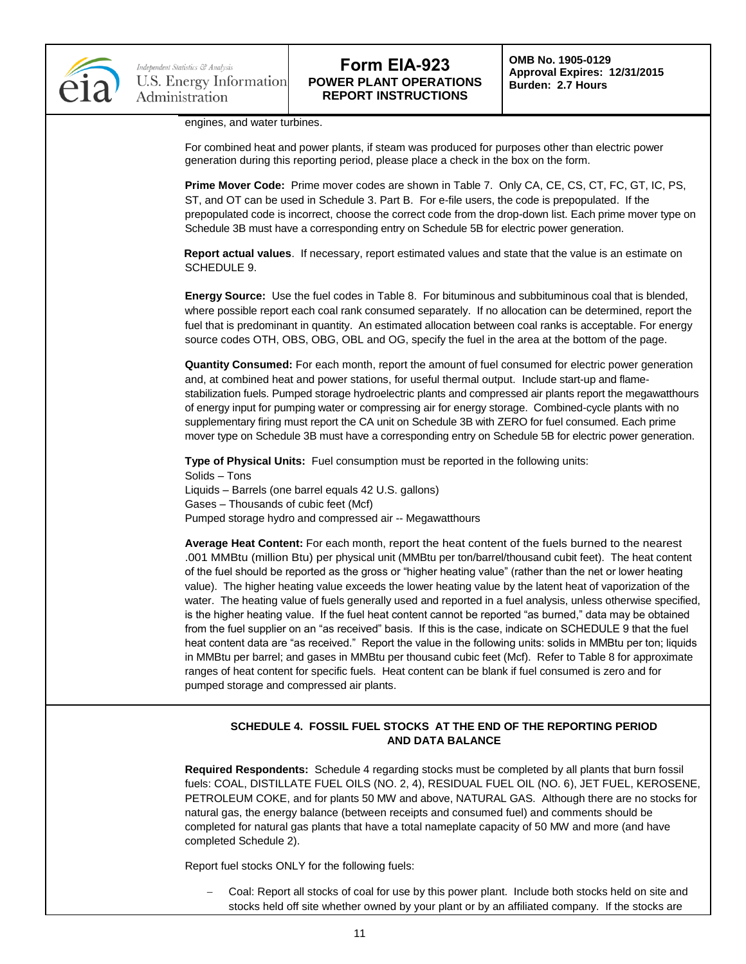

**OMB No. 1905-0129 Approval Expires: 12/31/2015 Burden: 2.7 Hours**

engines, and water turbines.

For combined heat and power plants, if steam was produced for purposes other than electric power generation during this reporting period, please place a check in the box on the form.

**Prime Mover Code:** Prime mover codes are shown in Table 7. Only CA, CE, CS, CT, FC, GT, IC, PS, ST, and OT can be used in Schedule 3. Part B. For e-file users, the code is prepopulated. If the prepopulated code is incorrect, choose the correct code from the drop-down list. Each prime mover type on Schedule 3B must have a corresponding entry on Schedule 5B for electric power generation.

**Report actual values**. If necessary, report estimated values and state that the value is an estimate on SCHEDULE 9.

**Energy Source:** Use the fuel codes in Table 8. For bituminous and subbituminous coal that is blended, where possible report each coal rank consumed separately. If no allocation can be determined, report the fuel that is predominant in quantity. An estimated allocation between coal ranks is acceptable. For energy source codes OTH, OBS, OBG, OBL and OG, specify the fuel in the area at the bottom of the page.

**Quantity Consumed:** For each month, report the amount of fuel consumed for electric power generation and, at combined heat and power stations, for useful thermal output. Include start-up and flamestabilization fuels. Pumped storage hydroelectric plants and compressed air plants report the megawatthours of energy input for pumping water or compressing air for energy storage. Combined-cycle plants with no supplementary firing must report the CA unit on Schedule 3B with ZERO for fuel consumed. Each prime mover type on Schedule 3B must have a corresponding entry on Schedule 5B for electric power generation.

**Type of Physical Units:** Fuel consumption must be reported in the following units: Solids – Tons Liquids – Barrels (one barrel equals 42 U.S. gallons) Gases – Thousands of cubic feet (Mcf) Pumped storage hydro and compressed air -- Megawatthours

**Average Heat Content:** For each month, report the heat content of the fuels burned to the nearest .001 MMBtu (million Btu) per physical unit (MMBtu per ton/barrel/thousand cubit feet). The heat content of the fuel should be reported as the gross or "higher heating value" (rather than the net or lower heating value). The higher heating value exceeds the lower heating value by the latent heat of vaporization of the water. The heating value of fuels generally used and reported in a fuel analysis, unless otherwise specified, is the higher heating value. If the fuel heat content cannot be reported "as burned," data may be obtained from the fuel supplier on an "as received" basis. If this is the case, indicate on SCHEDULE 9 that the fuel heat content data are "as received." Report the value in the following units: solids in MMBtu per ton; liquids in MMBtu per barrel; and gases in MMBtu per thousand cubic feet (Mcf). Refer to Table 8 for approximate ranges of heat content for specific fuels. Heat content can be blank if fuel consumed is zero and for pumped storage and compressed air plants.

## **SCHEDULE 4. FOSSIL FUEL STOCKS AT THE END OF THE REPORTING PERIOD AND DATA BALANCE**

**Required Respondents:** Schedule 4 regarding stocks must be completed by all plants that burn fossil fuels: COAL, DISTILLATE FUEL OILS (NO. 2, 4), RESIDUAL FUEL OIL (NO. 6), JET FUEL, KEROSENE, PETROLEUM COKE, and for plants 50 MW and above, NATURAL GAS. Although there are no stocks for natural gas, the energy balance (between receipts and consumed fuel) and comments should be completed for natural gas plants that have a total nameplate capacity of 50 MW and more (and have completed Schedule 2).

Report fuel stocks ONLY for the following fuels:

 Coal: Report all stocks of coal for use by this power plant. Include both stocks held on site and stocks held off site whether owned by your plant or by an affiliated company. If the stocks are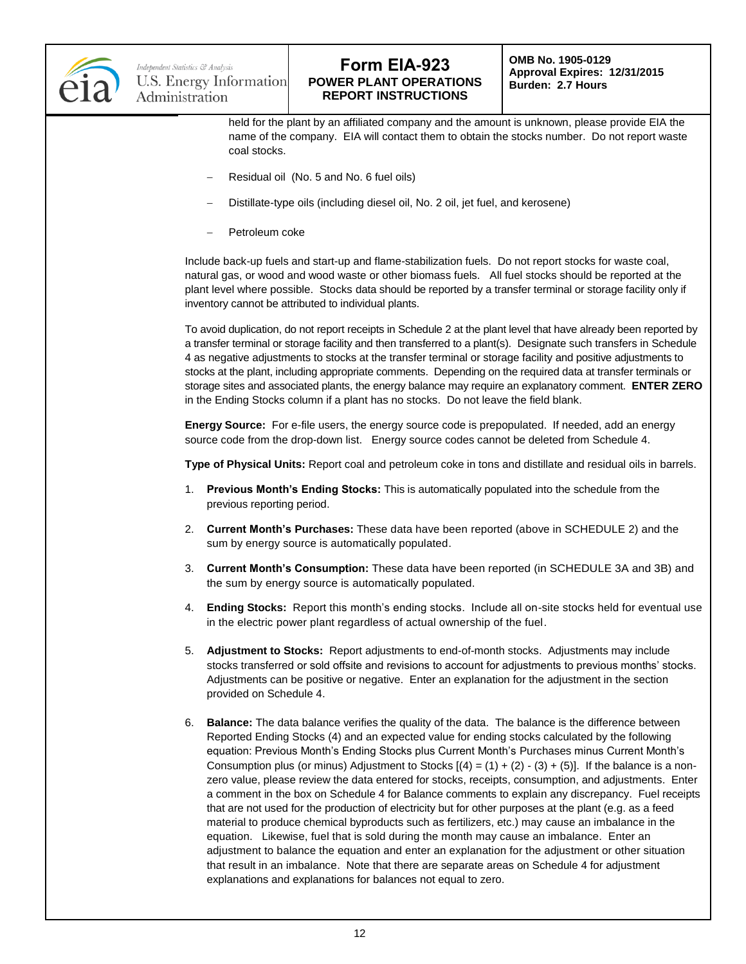

held for the plant by an affiliated company and the amount is unknown, please provide EIA the name of the company. EIA will contact them to obtain the stocks number. Do not report waste coal stocks.

- Residual oil (No. 5 and No. 6 fuel oils)
- Distillate-type oils (including diesel oil, No. 2 oil, jet fuel, and kerosene)
- Petroleum coke

Include back-up fuels and start-up and flame-stabilization fuels. Do not report stocks for waste coal, natural gas, or wood and wood waste or other biomass fuels. All fuel stocks should be reported at the plant level where possible. Stocks data should be reported by a transfer terminal or storage facility only if inventory cannot be attributed to individual plants.

To avoid duplication, do not report receipts in Schedule 2 at the plant level that have already been reported by a transfer terminal or storage facility and then transferred to a plant(s). Designate such transfers in Schedule 4 as negative adjustments to stocks at the transfer terminal or storage facility and positive adjustments to stocks at the plant, including appropriate comments. Depending on the required data at transfer terminals or storage sites and associated plants, the energy balance may require an explanatory comment. **ENTER ZERO** in the Ending Stocks column if a plant has no stocks. Do not leave the field blank.

**Energy Source:** For e-file users, the energy source code is prepopulated. If needed, add an energy source code from the drop-down list. Energy source codes cannot be deleted from Schedule 4.

**Type of Physical Units:** Report coal and petroleum coke in tons and distillate and residual oils in barrels.

- 1. **Previous Month's Ending Stocks:** This is automatically populated into the schedule from the previous reporting period.
- 2. **Current Month's Purchases:** These data have been reported (above in SCHEDULE 2) and the sum by energy source is automatically populated.
- 3. **Current Month's Consumption:** These data have been reported (in SCHEDULE 3A and 3B) and the sum by energy source is automatically populated.
- 4. **Ending Stocks:** Report this month's ending stocks. Include all on-site stocks held for eventual use in the electric power plant regardless of actual ownership of the fuel.
- 5. **Adjustment to Stocks:** Report adjustments to end-of-month stocks. Adjustments may include stocks transferred or sold offsite and revisions to account for adjustments to previous months' stocks. Adjustments can be positive or negative. Enter an explanation for the adjustment in the section provided on Schedule 4.
- 6. **Balance:** The data balance verifies the quality of the data. The balance is the difference between Reported Ending Stocks (4) and an expected value for ending stocks calculated by the following equation: Previous Month's Ending Stocks plus Current Month's Purchases minus Current Month's Consumption plus (or minus) Adjustment to Stocks  $[(4) = (1) + (2) - (3) + (5)]$ . If the balance is a nonzero value, please review the data entered for stocks, receipts, consumption, and adjustments. Enter a comment in the box on Schedule 4 for Balance comments to explain any discrepancy. Fuel receipts that are not used for the production of electricity but for other purposes at the plant (e.g. as a feed material to produce chemical byproducts such as fertilizers, etc.) may cause an imbalance in the equation. Likewise, fuel that is sold during the month may cause an imbalance. Enter an adjustment to balance the equation and enter an explanation for the adjustment or other situation that result in an imbalance. Note that there are separate areas on Schedule 4 for adjustment explanations and explanations for balances not equal to zero.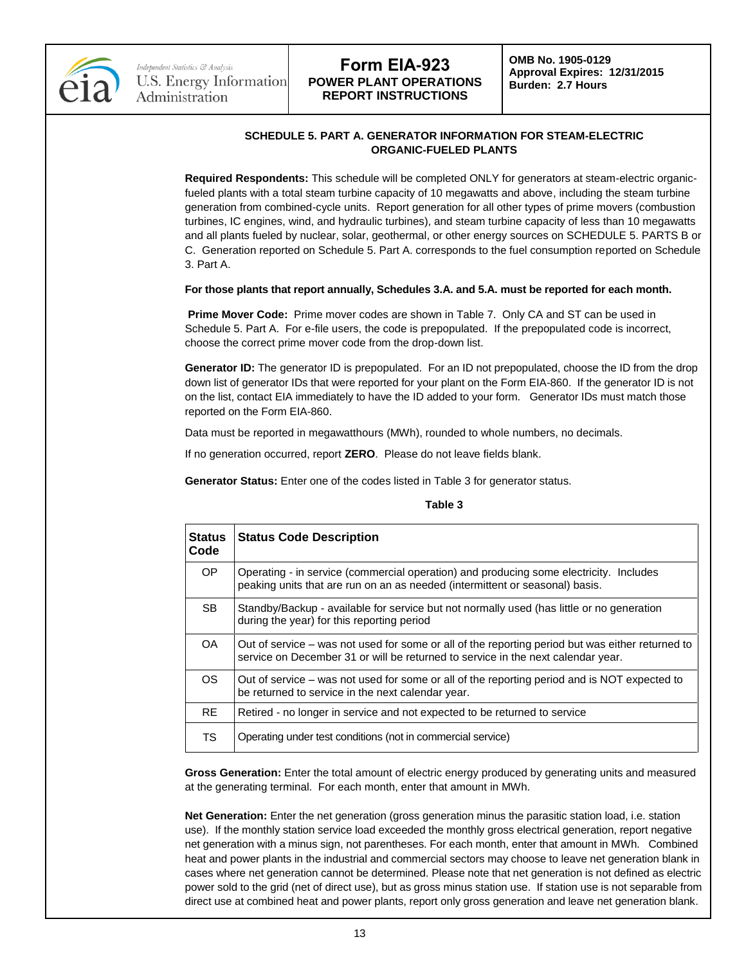

**OMB No. 1905-0129 Approval Expires: 12/31/2015 Burden: 2.7 Hours**

## **SCHEDULE 5. PART A. GENERATOR INFORMATION FOR STEAM-ELECTRIC ORGANIC-FUELED PLANTS**

**Required Respondents:** This schedule will be completed ONLY for generators at steam-electric organicfueled plants with a total steam turbine capacity of 10 megawatts and above, including the steam turbine generation from combined-cycle units. Report generation for all other types of prime movers (combustion turbines, IC engines, wind, and hydraulic turbines), and steam turbine capacity of less than 10 megawatts and all plants fueled by nuclear, solar, geothermal, or other energy sources on SCHEDULE 5. PARTS B or C. Generation reported on Schedule 5. Part A. corresponds to the fuel consumption reported on Schedule 3. Part A.

#### **For those plants that report annually, Schedules 3.A. and 5.A. must be reported for each month.**

**Prime Mover Code:** Prime mover codes are shown in Table 7. Only CA and ST can be used in Schedule 5. Part A. For e-file users, the code is prepopulated. If the prepopulated code is incorrect, choose the correct prime mover code from the drop-down list.

Generator ID: The generator ID is prepopulated. For an ID not prepopulated, choose the ID from the drop down list of generator IDs that were reported for your plant on the Form EIA-860. If the generator ID is not on the list, contact EIA immediately to have the ID added to your form. Generator IDs must match those reported on the Form EIA-860.

Data must be reported in megawatthours (MWh), rounded to whole numbers, no decimals.

If no generation occurred, report **ZERO**. Please do not leave fields blank.

**Generator Status:** Enter one of the codes listed in Table 3 for generator status.

#### **Table 3**

| <b>Status</b><br>Code | <b>Status Code Description</b>                                                                                                                                                       |
|-----------------------|--------------------------------------------------------------------------------------------------------------------------------------------------------------------------------------|
| OP.                   | Operating - in service (commercial operation) and producing some electricity. Includes<br>peaking units that are run on an as needed (intermittent or seasonal) basis.               |
| SB.                   | Standby/Backup - available for service but not normally used (has little or no generation<br>during the year) for this reporting period                                              |
| OA.                   | Out of service – was not used for some or all of the reporting period but was either returned to<br>service on December 31 or will be returned to service in the next calendar year. |
| <b>OS</b>             | Out of service – was not used for some or all of the reporting period and is NOT expected to<br>be returned to service in the next calendar year.                                    |
| RE.                   | Retired - no longer in service and not expected to be returned to service                                                                                                            |
| TS                    | Operating under test conditions (not in commercial service)                                                                                                                          |

**Gross Generation:** Enter the total amount of electric energy produced by generating units and measured at the generating terminal. For each month, enter that amount in MWh.

**Net Generation:** Enter the net generation (gross generation minus the parasitic station load, i.e. station use). If the monthly station service load exceeded the monthly gross electrical generation, report negative net generation with a minus sign, not parentheses. For each month, enter that amount in MWh. Combined heat and power plants in the industrial and commercial sectors may choose to leave net generation blank in cases where net generation cannot be determined. Please note that net generation is not defined as electric power sold to the grid (net of direct use), but as gross minus station use. If station use is not separable from direct use at combined heat and power plants, report only gross generation and leave net generation blank.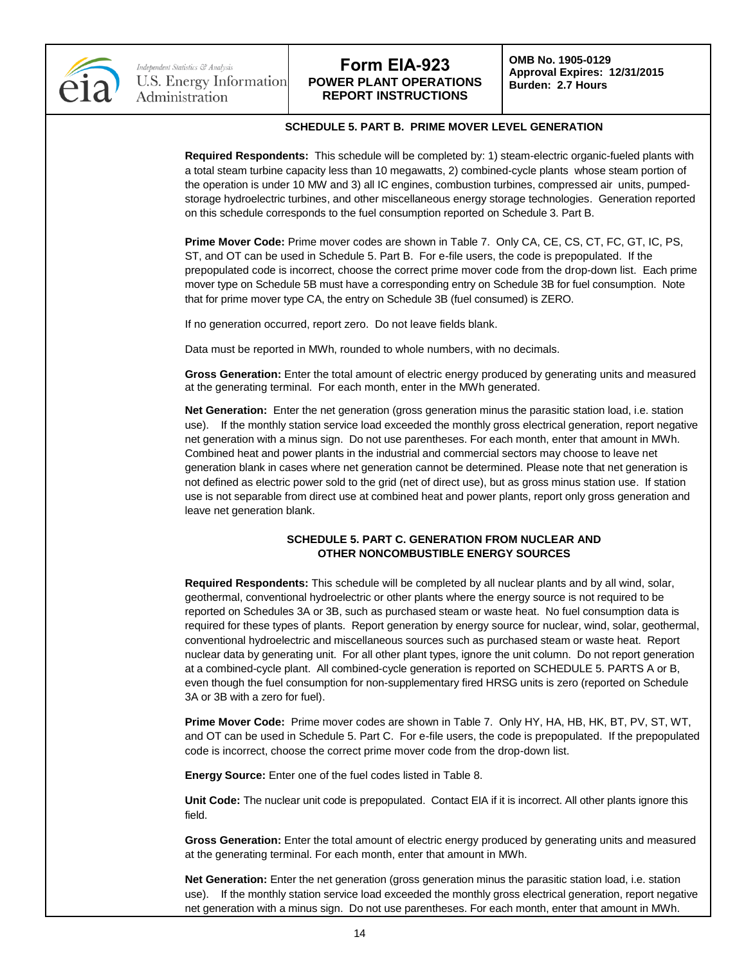

**OMB No. 1905-0129 Approval Expires: 12/31/2015 Burden: 2.7 Hours**

### **SCHEDULE 5. PART B. PRIME MOVER LEVEL GENERATION**

**Required Respondents:** This schedule will be completed by: 1) steam-electric organic-fueled plants with a total steam turbine capacity less than 10 megawatts, 2) combined-cycle plants whose steam portion of the operation is under 10 MW and 3) all IC engines, combustion turbines, compressed air units, pumpedstorage hydroelectric turbines, and other miscellaneous energy storage technologies. Generation reported on this schedule corresponds to the fuel consumption reported on Schedule 3. Part B.

**Prime Mover Code:** Prime mover codes are shown in Table 7. Only CA, CE, CS, CT, FC, GT, IC, PS, ST, and OT can be used in Schedule 5. Part B. For e-file users, the code is prepopulated. If the prepopulated code is incorrect, choose the correct prime mover code from the drop-down list. Each prime mover type on Schedule 5B must have a corresponding entry on Schedule 3B for fuel consumption. Note that for prime mover type CA, the entry on Schedule 3B (fuel consumed) is ZERO.

If no generation occurred, report zero. Do not leave fields blank.

Data must be reported in MWh, rounded to whole numbers, with no decimals.

**Gross Generation:** Enter the total amount of electric energy produced by generating units and measured at the generating terminal. For each month, enter in the MWh generated.

**Net Generation:** Enter the net generation (gross generation minus the parasitic station load, i.e. station use). If the monthly station service load exceeded the monthly gross electrical generation, report negative net generation with a minus sign. Do not use parentheses. For each month, enter that amount in MWh. Combined heat and power plants in the industrial and commercial sectors may choose to leave net generation blank in cases where net generation cannot be determined. Please note that net generation is not defined as electric power sold to the grid (net of direct use), but as gross minus station use. If station use is not separable from direct use at combined heat and power plants, report only gross generation and leave net generation blank.

### **SCHEDULE 5. PART C. GENERATION FROM NUCLEAR AND OTHER NONCOMBUSTIBLE ENERGY SOURCES**

**Required Respondents:** This schedule will be completed by all nuclear plants and by all wind, solar, geothermal, conventional hydroelectric or other plants where the energy source is not required to be reported on Schedules 3A or 3B, such as purchased steam or waste heat. No fuel consumption data is required for these types of plants. Report generation by energy source for nuclear, wind, solar, geothermal, conventional hydroelectric and miscellaneous sources such as purchased steam or waste heat. Report nuclear data by generating unit. For all other plant types, ignore the unit column. Do not report generation at a combined-cycle plant. All combined-cycle generation is reported on SCHEDULE 5. PARTS A or B, even though the fuel consumption for non-supplementary fired HRSG units is zero (reported on Schedule 3A or 3B with a zero for fuel).

**Prime Mover Code:** Prime mover codes are shown in Table 7. Only HY, HA, HB, HK, BT, PV, ST, WT, and OT can be used in Schedule 5. Part C. For e-file users, the code is prepopulated. If the prepopulated code is incorrect, choose the correct prime mover code from the drop-down list.

**Energy Source:** Enter one of the fuel codes listed in Table 8.

**Unit Code:** The nuclear unit code is prepopulated. Contact EIA if it is incorrect. All other plants ignore this field.

**Gross Generation:** Enter the total amount of electric energy produced by generating units and measured at the generating terminal. For each month, enter that amount in MWh.

**Net Generation:** Enter the net generation (gross generation minus the parasitic station load, i.e. station use). If the monthly station service load exceeded the monthly gross electrical generation, report negative net generation with a minus sign. Do not use parentheses. For each month, enter that amount in MWh.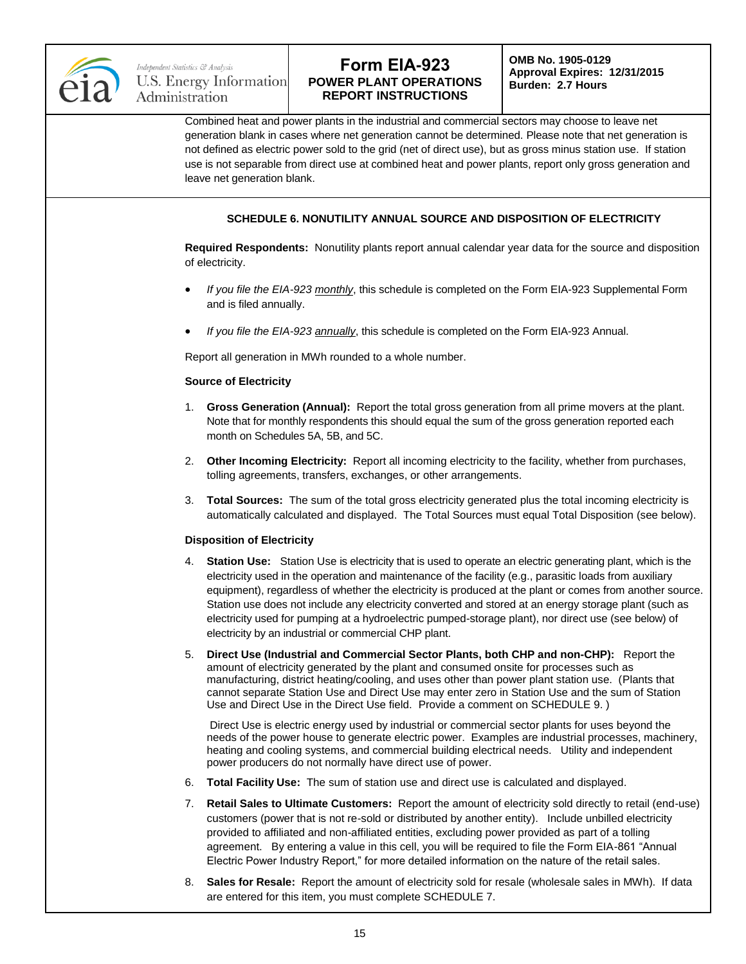

**OMB No. 1905-0129 Approval Expires: 12/31/2015 Burden: 2.7 Hours**

Combined heat and power plants in the industrial and commercial sectors may choose to leave net generation blank in cases where net generation cannot be determined. Please note that net generation is not defined as electric power sold to the grid (net of direct use), but as gross minus station use. If station use is not separable from direct use at combined heat and power plants, report only gross generation and leave net generation blank.

## **SCHEDULE 6. NONUTILITY ANNUAL SOURCE AND DISPOSITION OF ELECTRICITY**

**Required Respondents:** Nonutility plants report annual calendar year data for the source and disposition of electricity.

- *If you file the EIA-923 monthly*, this schedule is completed on the Form EIA-923 Supplemental Form and is filed annually.
- *If you file the EIA-923 annually*, this schedule is completed on the Form EIA-923 Annual.

Report all generation in MWh rounded to a whole number.

#### **Source of Electricity**

- 1. **Gross Generation (Annual):** Report the total gross generation from all prime movers at the plant. Note that for monthly respondents this should equal the sum of the gross generation reported each month on Schedules 5A, 5B, and 5C.
- 2. **Other Incoming Electricity:** Report all incoming electricity to the facility, whether from purchases, tolling agreements, transfers, exchanges, or other arrangements.
- 3. **Total Sources:** The sum of the total gross electricity generated plus the total incoming electricity is automatically calculated and displayed. The Total Sources must equal Total Disposition (see below).

### **Disposition of Electricity**

- 4. **Station Use:** Station Use is electricity that is used to operate an electric generating plant, which is the electricity used in the operation and maintenance of the facility (e.g., parasitic loads from auxiliary equipment), regardless of whether the electricity is produced at the plant or comes from another source. Station use does not include any electricity converted and stored at an energy storage plant (such as electricity used for pumping at a hydroelectric pumped-storage plant), nor direct use (see below) of electricity by an industrial or commercial CHP plant.
- 5. **Direct Use (Industrial and Commercial Sector Plants, both CHP and non-CHP):** Report the amount of electricity generated by the plant and consumed onsite for processes such as manufacturing, district heating/cooling, and uses other than power plant station use. (Plants that cannot separate Station Use and Direct Use may enter zero in Station Use and the sum of Station Use and Direct Use in the Direct Use field. Provide a comment on SCHEDULE 9. )

Direct Use is electric energy used by industrial or commercial sector plants for uses beyond the needs of the power house to generate electric power. Examples are industrial processes, machinery, heating and cooling systems, and commercial building electrical needs. Utility and independent power producers do not normally have direct use of power.

- 6. **Total Facility Use:** The sum of station use and direct use is calculated and displayed.
- 7. **Retail Sales to Ultimate Customers:** Report the amount of electricity sold directly to retail (end-use) customers (power that is not re-sold or distributed by another entity). Include unbilled electricity provided to affiliated and non-affiliated entities, excluding power provided as part of a tolling agreement. By entering a value in this cell, you will be required to file the Form EIA-861 "Annual Electric Power Industry Report," for more detailed information on the nature of the retail sales.
- 8. **Sales for Resale:** Report the amount of electricity sold for resale (wholesale sales in MWh). If data are entered for this item, you must complete SCHEDULE 7.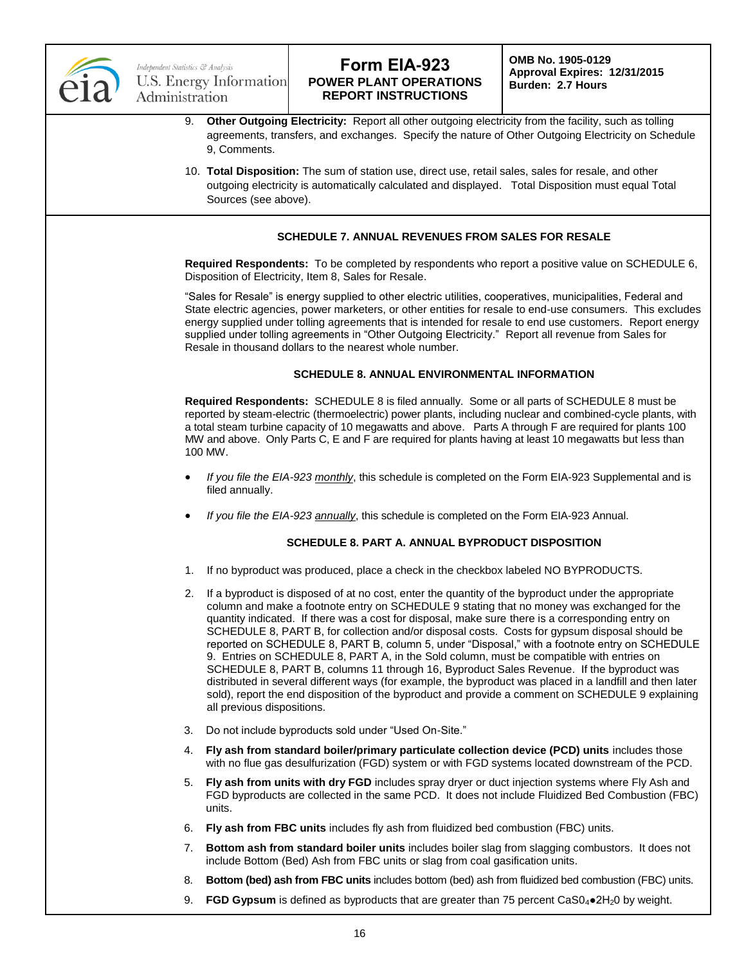

**OMB No. 1905-0129 Approval Expires: 12/31/2015 Burden: 2.7 Hours**

- 9. **Other Outgoing Electricity:** Report all other outgoing electricity from the facility, such as tolling agreements, transfers, and exchanges. Specify the nature of Other Outgoing Electricity on Schedule 9, Comments.
- 10. **Total Disposition:** The sum of station use, direct use, retail sales, sales for resale, and other outgoing electricity is automatically calculated and displayed. Total Disposition must equal Total Sources (see above).

## **SCHEDULE 7. ANNUAL REVENUES FROM SALES FOR RESALE**

**Required Respondents:** To be completed by respondents who report a positive value on SCHEDULE 6, Disposition of Electricity, Item 8, Sales for Resale.

"Sales for Resale" is energy supplied to other electric utilities, cooperatives, municipalities, Federal and State electric agencies, power marketers, or other entities for resale to end-use consumers. This excludes energy supplied under tolling agreements that is intended for resale to end use customers. Report energy supplied under tolling agreements in "Other Outgoing Electricity." Report all revenue from Sales for Resale in thousand dollars to the nearest whole number.

### **SCHEDULE 8. ANNUAL ENVIRONMENTAL INFORMATION**

**Required Respondents:** SCHEDULE 8 is filed annually. Some or all parts of SCHEDULE 8 must be reported by steam-electric (thermoelectric) power plants, including nuclear and combined-cycle plants, with a total steam turbine capacity of 10 megawatts and above. Parts A through F are required for plants 100 MW and above. Only Parts C, E and F are required for plants having at least 10 megawatts but less than 100 MW.

- *If you file the EIA-923 monthly*, this schedule is completed on the Form EIA-923 Supplemental and is filed annually.
- *If you file the EIA-923 annually*, this schedule is completed on the Form EIA-923 Annual.

### **SCHEDULE 8. PART A. ANNUAL BYPRODUCT DISPOSITION**

- 1. If no byproduct was produced, place a check in the checkbox labeled NO BYPRODUCTS.
- 2. If a byproduct is disposed of at no cost, enter the quantity of the byproduct under the appropriate column and make a footnote entry on SCHEDULE 9 stating that no money was exchanged for the quantity indicated. If there was a cost for disposal, make sure there is a corresponding entry on SCHEDULE 8, PART B, for collection and/or disposal costs. Costs for gypsum disposal should be reported on SCHEDULE 8, PART B, column 5, under "Disposal," with a footnote entry on SCHEDULE 9. Entries on SCHEDULE 8, PART A, in the Sold column, must be compatible with entries on SCHEDULE 8, PART B, columns 11 through 16, Byproduct Sales Revenue. If the byproduct was distributed in several different ways (for example, the byproduct was placed in a landfill and then later sold), report the end disposition of the byproduct and provide a comment on SCHEDULE 9 explaining all previous dispositions.
- 3. Do not include byproducts sold under "Used On-Site."
- 4. **Fly ash from standard boiler/primary particulate collection device (PCD) units** includes those with no flue gas desulfurization (FGD) system or with FGD systems located downstream of the PCD.
- 5. **Fly ash from units with dry FGD** includes spray dryer or duct injection systems where Fly Ash and FGD byproducts are collected in the same PCD. It does not include Fluidized Bed Combustion (FBC) units.
- 6. **Fly ash from FBC units** includes fly ash from fluidized bed combustion (FBC) units.
- 7. **Bottom ash from standard boiler units** includes boiler slag from slagging combustors. It does not include Bottom (Bed) Ash from FBC units or slag from coal gasification units.
- 8. **Bottom (bed) ash from FBC units** includes bottom (bed) ash from fluidized bed combustion (FBC) units.
- 9. **FGD Gypsum** is defined as byproducts that are greater than 75 percent CaS0<sub>4</sub>●2H<sub>2</sub>0 by weight.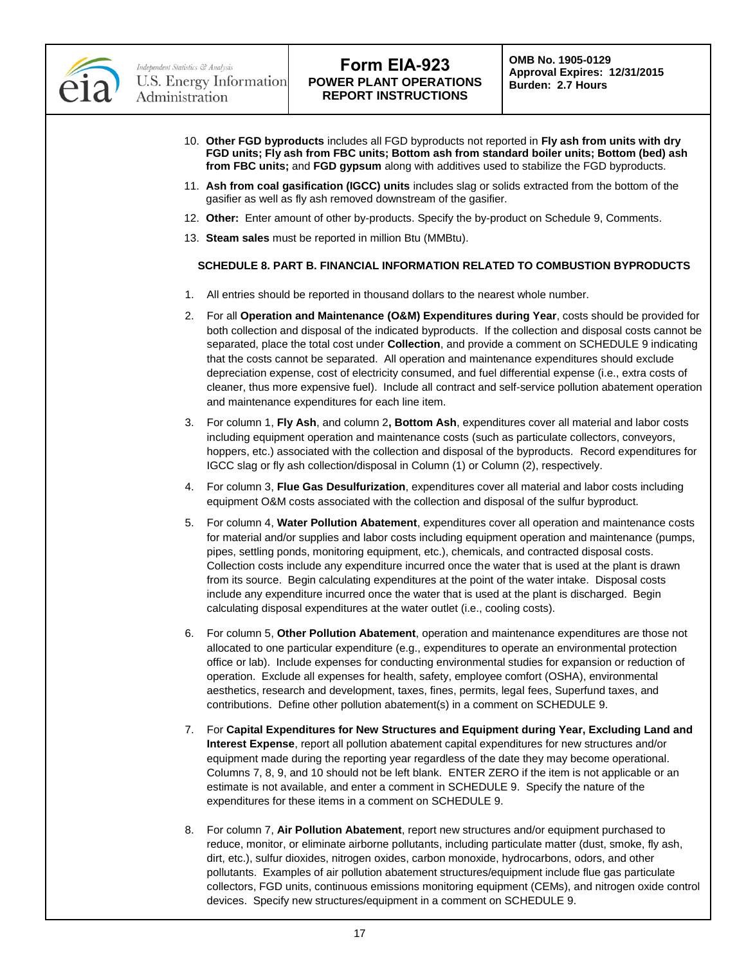

- 10. **Other FGD byproducts** includes all FGD byproducts not reported in **Fly ash from units with dry FGD units; Fly ash from FBC units; Bottom ash from standard boiler units; Bottom (bed) ash from FBC units;** and **FGD gypsum** along with additives used to stabilize the FGD byproducts.
- 11. **Ash from coal gasification (IGCC) units** includes slag or solids extracted from the bottom of the gasifier as well as fly ash removed downstream of the gasifier.
- 12. **Other:** Enter amount of other by-products. Specify the by-product on Schedule 9, Comments.
- 13. **Steam sales** must be reported in million Btu (MMBtu).

### **SCHEDULE 8. PART B. FINANCIAL INFORMATION RELATED TO COMBUSTION BYPRODUCTS**

- 1. All entries should be reported in thousand dollars to the nearest whole number.
- 2. For all **Operation and Maintenance (O&M) Expenditures during Year**, costs should be provided for both collection and disposal of the indicated byproducts. If the collection and disposal costs cannot be separated, place the total cost under **Collection**, and provide a comment on SCHEDULE 9 indicating that the costs cannot be separated. All operation and maintenance expenditures should exclude depreciation expense, cost of electricity consumed, and fuel differential expense (i.e., extra costs of cleaner, thus more expensive fuel). Include all contract and self-service pollution abatement operation and maintenance expenditures for each line item.
- 3. For column 1, **Fly Ash**, and column 2**, Bottom Ash**, expenditures cover all material and labor costs including equipment operation and maintenance costs (such as particulate collectors, conveyors, hoppers, etc.) associated with the collection and disposal of the byproducts. Record expenditures for IGCC slag or fly ash collection/disposal in Column (1) or Column (2), respectively.
- 4. For column 3, **Flue Gas Desulfurization**, expenditures cover all material and labor costs including equipment O&M costs associated with the collection and disposal of the sulfur byproduct.
- 5. For column 4, **Water Pollution Abatement**, expenditures cover all operation and maintenance costs for material and/or supplies and labor costs including equipment operation and maintenance (pumps, pipes, settling ponds, monitoring equipment, etc.), chemicals, and contracted disposal costs. Collection costs include any expenditure incurred once the water that is used at the plant is drawn from its source. Begin calculating expenditures at the point of the water intake. Disposal costs include any expenditure incurred once the water that is used at the plant is discharged. Begin calculating disposal expenditures at the water outlet (i.e., cooling costs).
- 6. For column 5, **Other Pollution Abatement**, operation and maintenance expenditures are those not allocated to one particular expenditure (e.g., expenditures to operate an environmental protection office or lab). Include expenses for conducting environmental studies for expansion or reduction of operation. Exclude all expenses for health, safety, employee comfort (OSHA), environmental aesthetics, research and development, taxes, fines, permits, legal fees, Superfund taxes, and contributions. Define other pollution abatement(s) in a comment on SCHEDULE 9.
- 7. For **Capital Expenditures for New Structures and Equipment during Year, Excluding Land and Interest Expense**, report all pollution abatement capital expenditures for new structures and/or equipment made during the reporting year regardless of the date they may become operational. Columns 7, 8, 9, and 10 should not be left blank. ENTER ZERO if the item is not applicable or an estimate is not available, and enter a comment in SCHEDULE 9. Specify the nature of the expenditures for these items in a comment on SCHEDULE 9.
- 8. For column 7, **Air Pollution Abatement**, report new structures and/or equipment purchased to reduce, monitor, or eliminate airborne pollutants, including particulate matter (dust, smoke, fly ash, dirt, etc.), sulfur dioxides, nitrogen oxides, carbon monoxide, hydrocarbons, odors, and other pollutants. Examples of air pollution abatement structures/equipment include flue gas particulate collectors, FGD units, continuous emissions monitoring equipment (CEMs), and nitrogen oxide control devices. Specify new structures/equipment in a comment on SCHEDULE 9.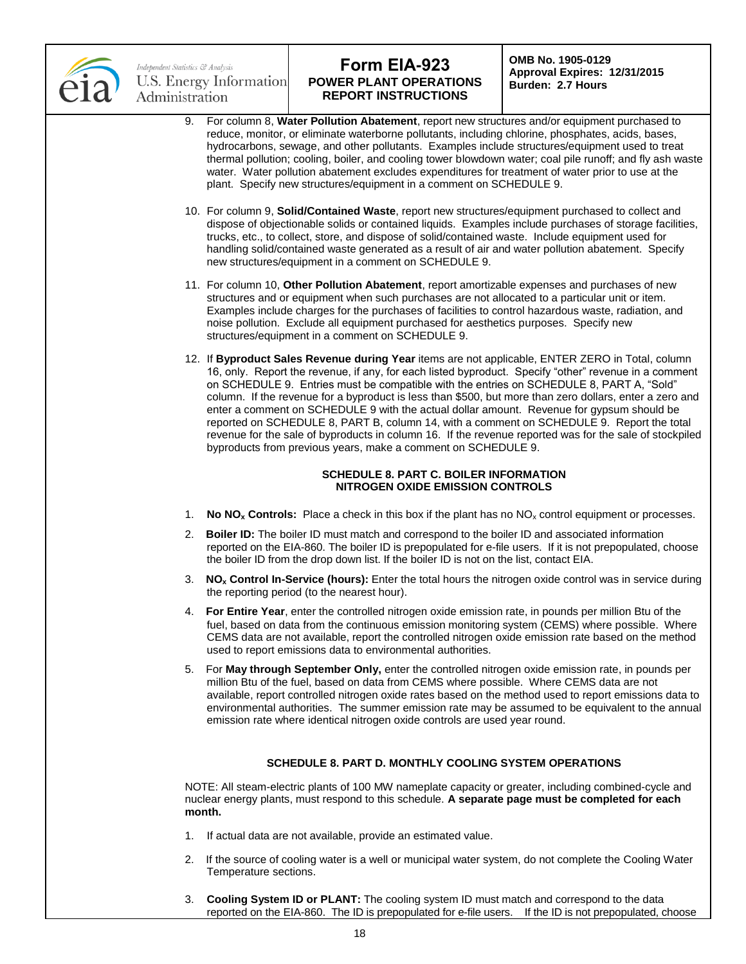

## Independent Statistics & Analysis U.S. Energy Information Administration

# **Form EIA-923 POWER PLANT OPERATIONS REPORT INSTRUCTIONS**

**OMB No. 1905-0129 Approval Expires: 12/31/2015 Burden: 2.7 Hours**

- 9. For column 8, **Water Pollution Abatement**, report new structures and/or equipment purchased to reduce, monitor, or eliminate waterborne pollutants, including chlorine, phosphates, acids, bases, hydrocarbons, sewage, and other pollutants. Examples include structures/equipment used to treat thermal pollution; cooling, boiler, and cooling tower blowdown water; coal pile runoff; and fly ash waste water. Water pollution abatement excludes expenditures for treatment of water prior to use at the plant. Specify new structures/equipment in a comment on SCHEDULE 9.
- 10. For column 9, **Solid/Contained Waste**, report new structures/equipment purchased to collect and dispose of objectionable solids or contained liquids. Examples include purchases of storage facilities, trucks, etc., to collect, store, and dispose of solid/contained waste. Include equipment used for handling solid/contained waste generated as a result of air and water pollution abatement. Specify new structures/equipment in a comment on SCHEDULE 9.
- 11. For column 10, **Other Pollution Abatement**, report amortizable expenses and purchases of new structures and or equipment when such purchases are not allocated to a particular unit or item. Examples include charges for the purchases of facilities to control hazardous waste, radiation, and noise pollution. Exclude all equipment purchased for aesthetics purposes. Specify new structures/equipment in a comment on SCHEDULE 9.
- 12. If **Byproduct Sales Revenue during Year** items are not applicable, ENTER ZERO in Total, column 16, only. Report the revenue, if any, for each listed byproduct. Specify "other" revenue in a comment on SCHEDULE 9. Entries must be compatible with the entries on SCHEDULE 8, PART A, "Sold" column. If the revenue for a byproduct is less than \$500, but more than zero dollars, enter a zero and enter a comment on SCHEDULE 9 with the actual dollar amount. Revenue for gypsum should be reported on SCHEDULE 8, PART B, column 14, with a comment on SCHEDULE 9. Report the total revenue for the sale of byproducts in column 16. If the revenue reported was for the sale of stockpiled byproducts from previous years, make a comment on SCHEDULE 9.

### **SCHEDULE 8. PART C. BOILER INFORMATION NITROGEN OXIDE EMISSION CONTROLS**

- 1. **No NO<sub>x</sub>** Controls: Place a check in this box if the plant has no NO<sub>x</sub> control equipment or processes.
- 2. **Boiler ID:** The boiler ID must match and correspond to the boiler ID and associated information reported on the EIA-860. The boiler ID is prepopulated for e-file users. If it is not prepopulated, choose the boiler ID from the drop down list. If the boiler ID is not on the list, contact EIA.
- 3. **NO<sup>x</sup> Control In-Service (hours):** Enter the total hours the nitrogen oxide control was in service during the reporting period (to the nearest hour).
- 4. **For Entire Year**, enter the controlled nitrogen oxide emission rate, in pounds per million Btu of the fuel, based on data from the continuous emission monitoring system (CEMS) where possible. Where CEMS data are not available, report the controlled nitrogen oxide emission rate based on the method used to report emissions data to environmental authorities.
- 5. For **May through September Only,** enter the controlled nitrogen oxide emission rate, in pounds per million Btu of the fuel, based on data from CEMS where possible. Where CEMS data are not available, report controlled nitrogen oxide rates based on the method used to report emissions data to environmental authorities. The summer emission rate may be assumed to be equivalent to the annual emission rate where identical nitrogen oxide controls are used year round.

## **SCHEDULE 8. PART D. MONTHLY COOLING SYSTEM OPERATIONS**

NOTE: All steam-electric plants of 100 MW nameplate capacity or greater, including combined-cycle and nuclear energy plants, must respond to this schedule. **A separate page must be completed for each month.**

- 1. If actual data are not available, provide an estimated value.
- 2. If the source of cooling water is a well or municipal water system, do not complete the Cooling Water Temperature sections.
- 3. **Cooling System ID or PLANT:** The cooling system ID must match and correspond to the data reported on the EIA-860. The ID is prepopulated for e-file users. If the ID is not prepopulated, choose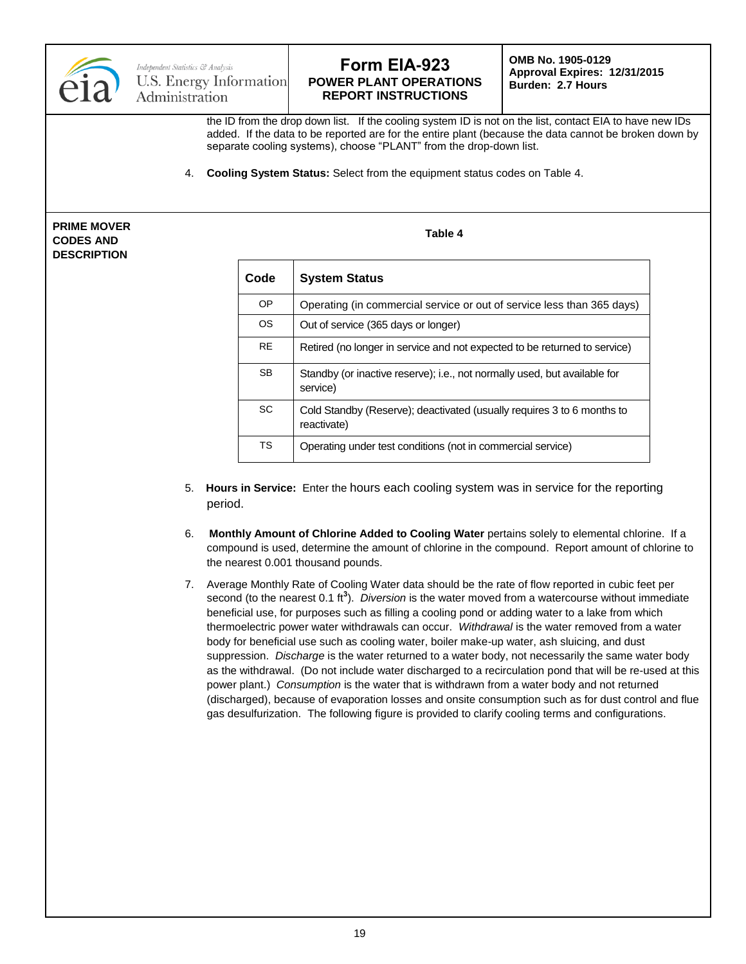

**OMB No. 1905-0129 Approval Expires: 12/31/2015 Burden: 2.7 Hours**

the ID from the drop down list. If the cooling system ID is not on the list, contact EIA to have new IDs added. If the data to be reported are for the entire plant (because the data cannot be broken down by separate cooling systems), choose "PLANT" from the drop-down list.

4. **Cooling System Status:** Select from the equipment status codes on Table 4.

**PRIME MOVER CODES AND DESCRIPTION**

| Code      | <b>System Status</b>                                                                  |
|-----------|---------------------------------------------------------------------------------------|
| OP        | Operating (in commercial service or out of service less than 365 days)                |
| <b>OS</b> | Out of service (365 days or longer)                                                   |
| <b>RE</b> | Retired (no longer in service and not expected to be returned to service)             |
| <b>SB</b> | Standby (or inactive reserve); i.e., not normally used, but available for<br>service) |
| <b>SC</b> | Cold Standby (Reserve); deactivated (usually requires 3 to 6 months to<br>reactivate) |
| <b>TS</b> | Operating under test conditions (not in commercial service)                           |

**Table 4**

- 5. **Hours in Service:** Enter the hours each cooling system was in service for the reporting period.
- 6. **Monthly Amount of Chlorine Added to Cooling Water** pertains solely to elemental chlorine. If a compound is used, determine the amount of chlorine in the compound. Report amount of chlorine to the nearest 0.001 thousand pounds.
- 7. Average Monthly Rate of Cooling Water data should be the rate of flow reported in cubic feet per second (to the nearest 0.1 ft**<sup>3</sup>** ). *Diversion* is the water moved from a watercourse without immediate beneficial use, for purposes such as filling a cooling pond or adding water to a lake from which thermoelectric power water withdrawals can occur. *Withdrawal* is the water removed from a water body for beneficial use such as cooling water, boiler make-up water, ash sluicing, and dust suppression. *Discharge* is the water returned to a water body, not necessarily the same water body as the withdrawal. (Do not include water discharged to a recirculation pond that will be re-used at this power plant.) *Consumption* is the water that is withdrawn from a water body and not returned (discharged), because of evaporation losses and onsite consumption such as for dust control and flue gas desulfurization. The following figure is provided to clarify cooling terms and configurations.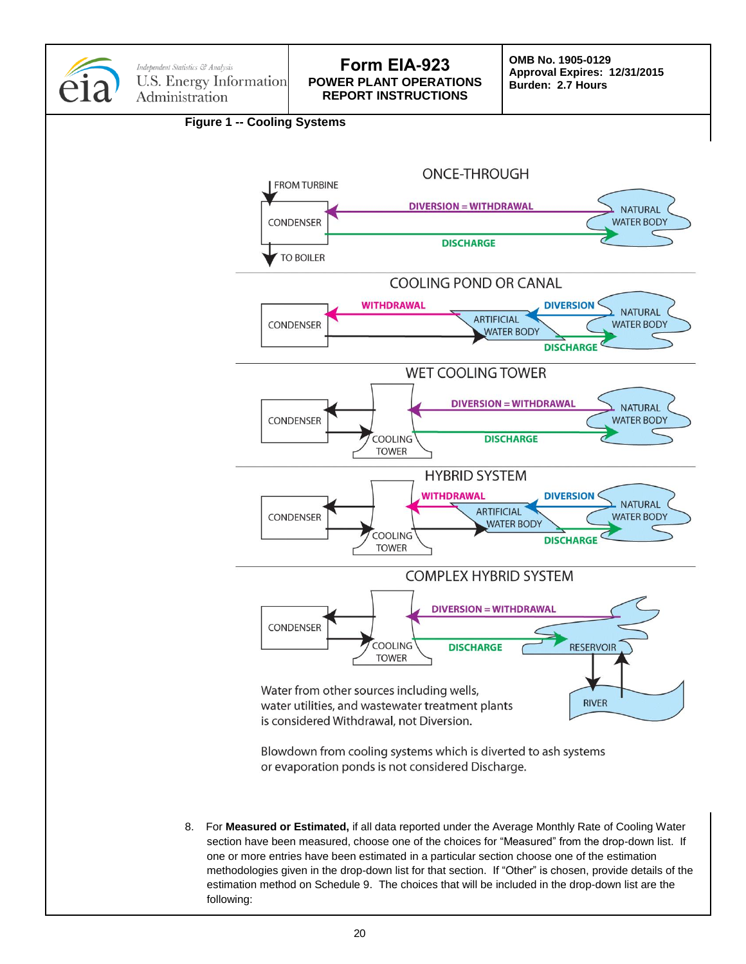

8. For **Measured or Estimated,** if all data reported under the Average Monthly Rate of Cooling Water section have been measured, choose one of the choices for "Measured" from the drop-down list. If one or more entries have been estimated in a particular section choose one of the estimation methodologies given in the drop-down list for that section. If "Other" is chosen, provide details of the estimation method on Schedule 9. The choices that will be included in the drop-down list are the following: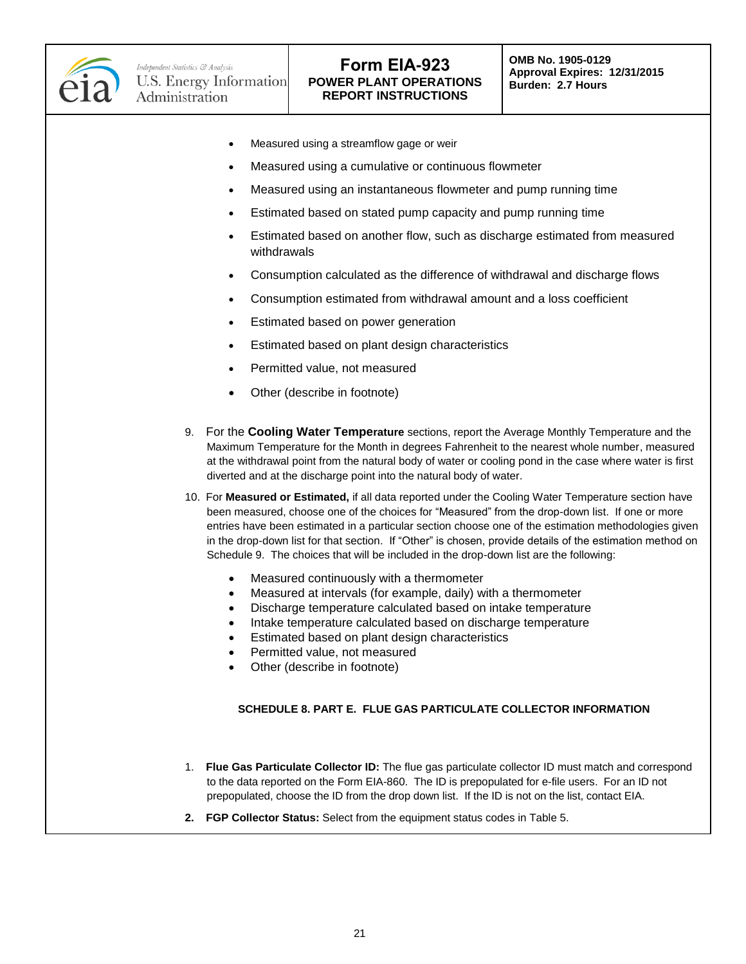

- Measured using a streamflow gage or weir
- Measured using a cumulative or continuous flowmeter
- Measured using an instantaneous flowmeter and pump running time
- Estimated based on stated pump capacity and pump running time
- Estimated based on another flow, such as discharge estimated from measured withdrawals
- Consumption calculated as the difference of withdrawal and discharge flows
- Consumption estimated from withdrawal amount and a loss coefficient
- Estimated based on power generation
- Estimated based on plant design characteristics
- Permitted value, not measured
- Other (describe in footnote)
- 9. For the **Cooling Water Temperature** sections, report the Average Monthly Temperature and the Maximum Temperature for the Month in degrees Fahrenheit to the nearest whole number, measured at the withdrawal point from the natural body of water or cooling pond in the case where water is first diverted and at the discharge point into the natural body of water.
- 10. For **Measured or Estimated,** if all data reported under the Cooling Water Temperature section have been measured, choose one of the choices for "Measured" from the drop-down list. If one or more entries have been estimated in a particular section choose one of the estimation methodologies given in the drop-down list for that section. If "Other" is chosen, provide details of the estimation method on Schedule 9. The choices that will be included in the drop-down list are the following:
	- Measured continuously with a thermometer
	- Measured at intervals (for example, daily) with a thermometer
	- Discharge temperature calculated based on intake temperature
	- Intake temperature calculated based on discharge temperature
	- **Estimated based on plant design characteristics**
	- Permitted value, not measured
	- Other (describe in footnote)

### **SCHEDULE 8. PART E. FLUE GAS PARTICULATE COLLECTOR INFORMATION**

- 1. **Flue Gas Particulate Collector ID:** The flue gas particulate collector ID must match and correspond to the data reported on the Form EIA-860. The ID is prepopulated for e-file users. For an ID not prepopulated, choose the ID from the drop down list. If the ID is not on the list, contact EIA.
- **2. FGP Collector Status:** Select from the equipment status codes in Table 5.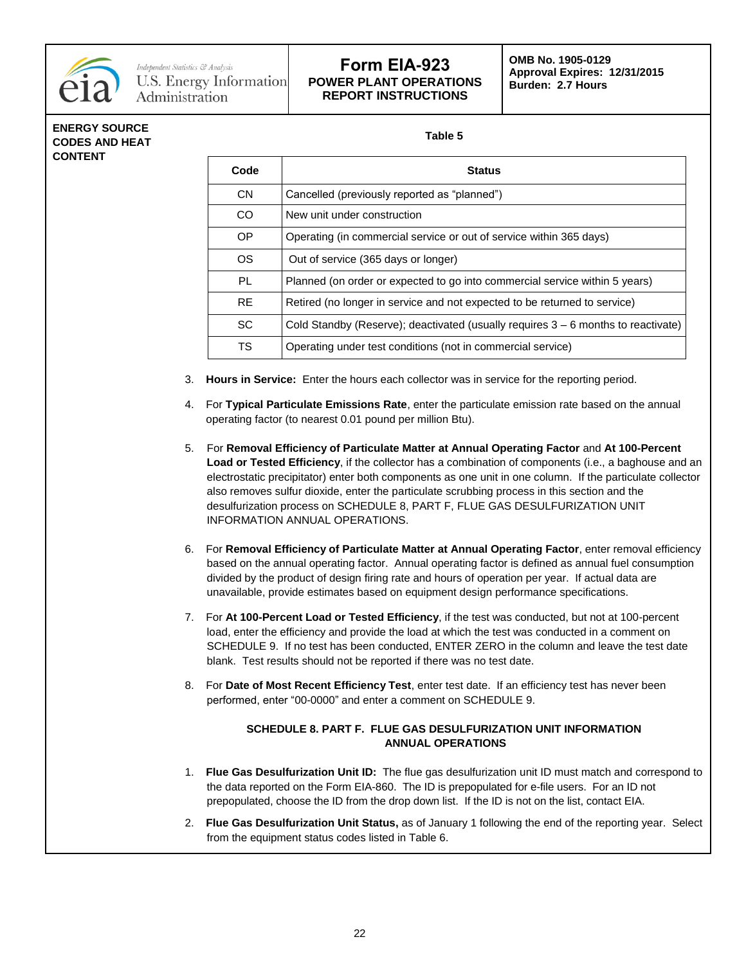

## **ENERGY SOURCE CODES AND HEAT CONTENT**

**Table 5**

| Code      | <b>Status</b>                                                                       |
|-----------|-------------------------------------------------------------------------------------|
| CN.       | Cancelled (previously reported as "planned")                                        |
| CO.       | New unit under construction                                                         |
| OP.       | Operating (in commercial service or out of service within 365 days)                 |
| OS.       | Out of service (365 days or longer)                                                 |
| PL        | Planned (on order or expected to go into commercial service within 5 years)         |
| <b>RE</b> | Retired (no longer in service and not expected to be returned to service)           |
| <b>SC</b> | Cold Standby (Reserve); deactivated (usually requires $3 - 6$ months to reactivate) |
| TS.       | Operating under test conditions (not in commercial service)                         |

- 3. **Hours in Service:** Enter the hours each collector was in service for the reporting period.
- 4. For **Typical Particulate Emissions Rate**, enter the particulate emission rate based on the annual operating factor (to nearest 0.01 pound per million Btu).
- 5. For **Removal Efficiency of Particulate Matter at Annual Operating Factor** and **At 100-Percent Load or Tested Efficiency**, if the collector has a combination of components (i.e., a baghouse and an electrostatic precipitator) enter both components as one unit in one column. If the particulate collector also removes sulfur dioxide, enter the particulate scrubbing process in this section and the desulfurization process on SCHEDULE 8, PART F, FLUE GAS DESULFURIZATION UNIT INFORMATION ANNUAL OPERATIONS.
- 6. For **Removal Efficiency of Particulate Matter at Annual Operating Factor**, enter removal efficiency based on the annual operating factor. Annual operating factor is defined as annual fuel consumption divided by the product of design firing rate and hours of operation per year. If actual data are unavailable, provide estimates based on equipment design performance specifications.
- 7. For **At 100-Percent Load or Tested Efficiency**, if the test was conducted, but not at 100-percent load, enter the efficiency and provide the load at which the test was conducted in a comment on SCHEDULE 9. If no test has been conducted, ENTER ZERO in the column and leave the test date blank. Test results should not be reported if there was no test date.
- 8. For **Date of Most Recent Efficiency Test**, enter test date. If an efficiency test has never been performed, enter "00-0000" and enter a comment on SCHEDULE 9.

## **SCHEDULE 8. PART F. FLUE GAS DESULFURIZATION UNIT INFORMATION ANNUAL OPERATIONS**

- 1. **Flue Gas Desulfurization Unit ID:** The flue gas desulfurization unit ID must match and correspond to the data reported on the Form EIA-860. The ID is prepopulated for e-file users. For an ID not prepopulated, choose the ID from the drop down list. If the ID is not on the list, contact EIA.
- 2. **Flue Gas Desulfurization Unit Status,** as of January 1 following the end of the reporting year. Select from the equipment status codes listed in Table 6.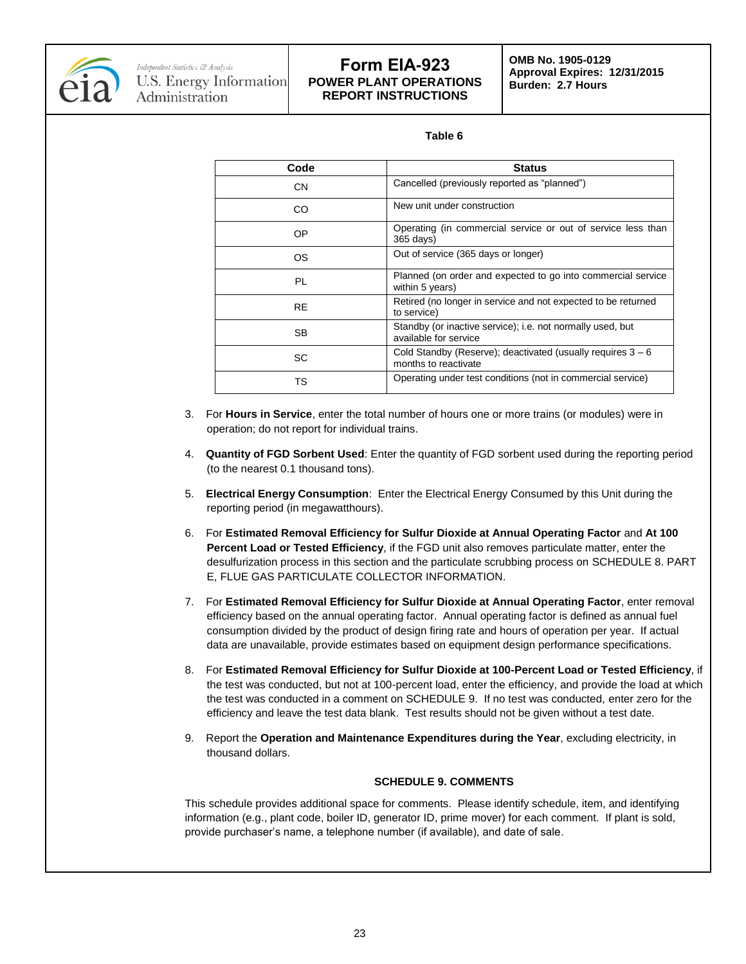

#### **Table 6**

| Code      | <b>Status</b>                                                                         |
|-----------|---------------------------------------------------------------------------------------|
| <b>CN</b> | Cancelled (previously reported as "planned")                                          |
| CO        | New unit under construction                                                           |
| OΡ        | Operating (in commercial service or out of service less than<br>365 days)             |
| ΟS        | Out of service (365 days or longer)                                                   |
| PL        | Planned (on order and expected to go into commercial service<br>within 5 years)       |
| <b>RE</b> | Retired (no longer in service and not expected to be returned<br>to service)          |
| SB        | Standby (or inactive service); i.e. not normally used, but<br>available for service   |
| SC        | Cold Standby (Reserve); deactivated (usually requires $3 - 6$<br>months to reactivate |
| тs        | Operating under test conditions (not in commercial service)                           |

- 3. For **Hours in Service**, enter the total number of hours one or more trains (or modules) were in operation; do not report for individual trains.
- 4. **Quantity of FGD Sorbent Used**: Enter the quantity of FGD sorbent used during the reporting period (to the nearest 0.1 thousand tons).
- 5. **Electrical Energy Consumption**: Enter the Electrical Energy Consumed by this Unit during the reporting period (in megawatthours).
- 6. For **Estimated Removal Efficiency for Sulfur Dioxide at Annual Operating Factor** and **At 100 Percent Load or Tested Efficiency**, if the FGD unit also removes particulate matter, enter the desulfurization process in this section and the particulate scrubbing process on SCHEDULE 8. PART E, FLUE GAS PARTICULATE COLLECTOR INFORMATION.
- 7. For **Estimated Removal Efficiency for Sulfur Dioxide at Annual Operating Factor**, enter removal efficiency based on the annual operating factor. Annual operating factor is defined as annual fuel consumption divided by the product of design firing rate and hours of operation per year. If actual data are unavailable, provide estimates based on equipment design performance specifications.
- 8. For **Estimated Removal Efficiency for Sulfur Dioxide at 100-Percent Load or Tested Efficiency**, if the test was conducted, but not at 100-percent load, enter the efficiency, and provide the load at which the test was conducted in a comment on SCHEDULE 9. If no test was conducted, enter zero for the efficiency and leave the test data blank. Test results should not be given without a test date.
- 9. Report the **Operation and Maintenance Expenditures during the Year**, excluding electricity, in thousand dollars.

### **SCHEDULE 9. COMMENTS**

This schedule provides additional space for comments. Please identify schedule, item, and identifying information (e.g., plant code, boiler ID, generator ID, prime mover) for each comment. If plant is sold, provide purchaser's name, a telephone number (if available), and date of sale.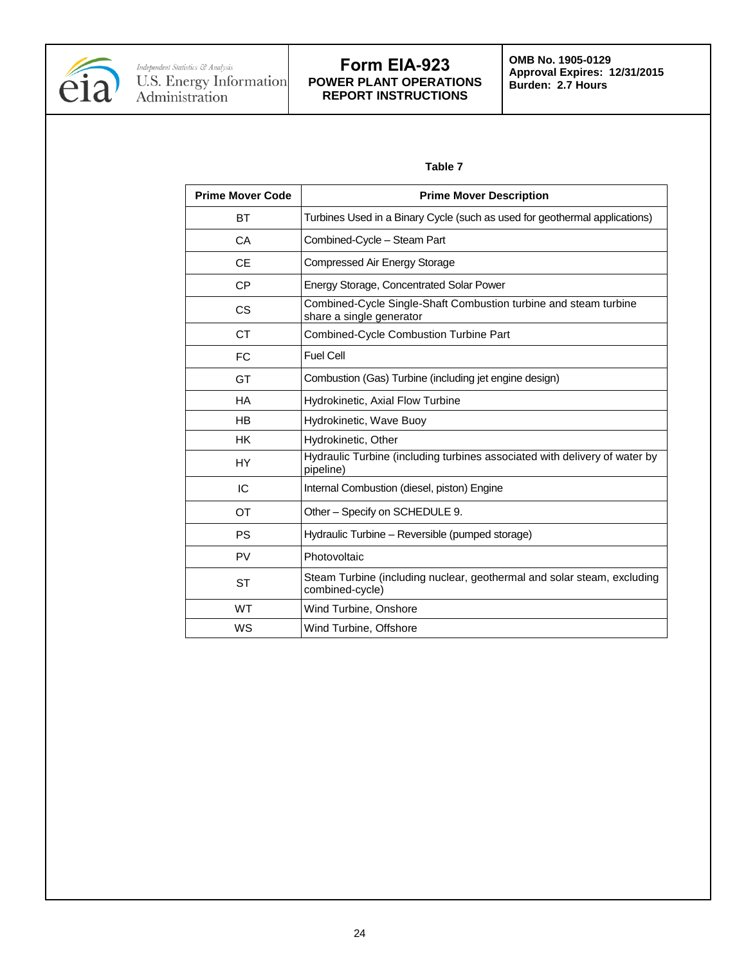

### **Table 7**

| <b>Prime Mover Code</b> | <b>Prime Mover Description</b>                                                               |
|-------------------------|----------------------------------------------------------------------------------------------|
| ВT                      | Turbines Used in a Binary Cycle (such as used for geothermal applications)                   |
| CA                      | Combined-Cycle - Steam Part                                                                  |
| <b>CE</b>               | Compressed Air Energy Storage                                                                |
| <b>CP</b>               | <b>Energy Storage, Concentrated Solar Power</b>                                              |
| <b>CS</b>               | Combined-Cycle Single-Shaft Combustion turbine and steam turbine<br>share a single generator |
| <b>CT</b>               | Combined-Cycle Combustion Turbine Part                                                       |
| <b>FC</b>               | <b>Fuel Cell</b>                                                                             |
| GT                      | Combustion (Gas) Turbine (including jet engine design)                                       |
| <b>HA</b>               | Hydrokinetic, Axial Flow Turbine                                                             |
| <b>HB</b>               | Hydrokinetic, Wave Buoy                                                                      |
| <b>HK</b>               | Hydrokinetic, Other                                                                          |
| HY                      | Hydraulic Turbine (including turbines associated with delivery of water by<br>pipeline)      |
| IC                      | Internal Combustion (diesel, piston) Engine                                                  |
| OT                      | Other - Specify on SCHEDULE 9.                                                               |
| <b>PS</b>               | Hydraulic Turbine - Reversible (pumped storage)                                              |
| <b>PV</b>               | Photovoltaic                                                                                 |
| <b>ST</b>               | Steam Turbine (including nuclear, geothermal and solar steam, excluding<br>combined-cycle)   |
| <b>WT</b>               | Wind Turbine, Onshore                                                                        |
| WS                      | Wind Turbine, Offshore                                                                       |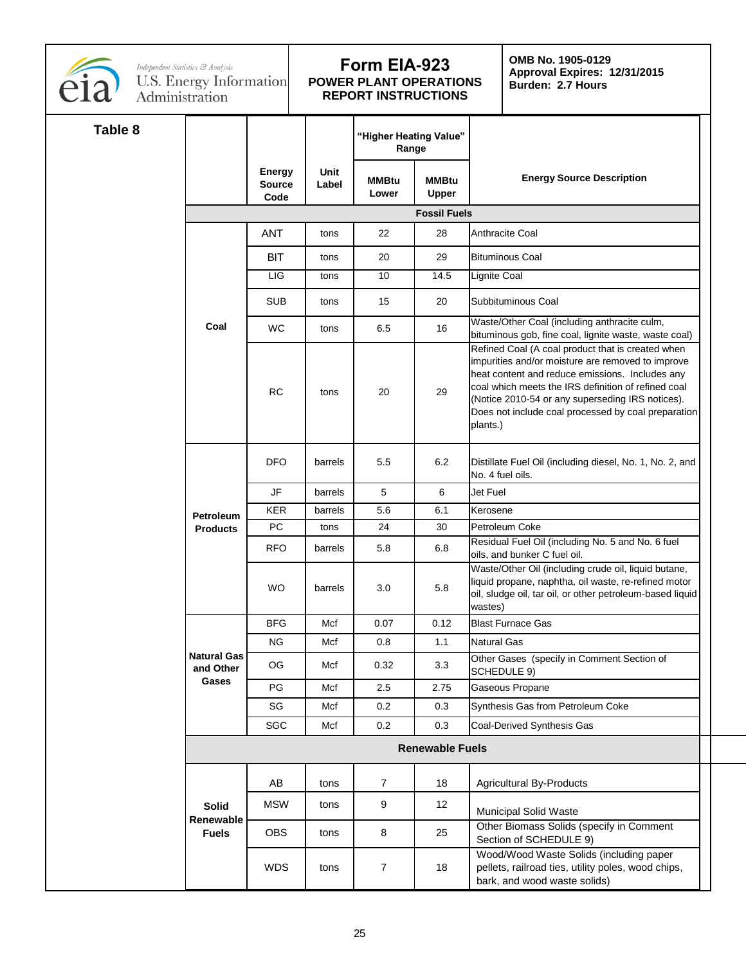

**OMB No. 1905-0129 Approval Expires: 12/31/2015 Burden: 2.7 Hours**

| Table 8 |                                 |                                 |                     | "Higher Heating Value"<br>Range |                        |                                                                                                                                                                                                                                                                                                                                         |
|---------|---------------------------------|---------------------------------|---------------------|---------------------------------|------------------------|-----------------------------------------------------------------------------------------------------------------------------------------------------------------------------------------------------------------------------------------------------------------------------------------------------------------------------------------|
|         |                                 | <b>Energy</b><br>Source<br>Code | Unit<br>Label       | <b>MMBtu</b><br>Lower           | <b>MMBtu</b><br>Upper  | <b>Energy Source Description</b>                                                                                                                                                                                                                                                                                                        |
|         |                                 |                                 | <b>Fossil Fuels</b> |                                 |                        |                                                                                                                                                                                                                                                                                                                                         |
|         |                                 | <b>ANT</b>                      | tons                | 22                              | 28                     | Anthracite Coal                                                                                                                                                                                                                                                                                                                         |
|         |                                 | <b>BIT</b>                      | tons                | 20                              | 29                     | <b>Bituminous Coal</b>                                                                                                                                                                                                                                                                                                                  |
|         |                                 | LIG                             | tons                | 10 <sup>1</sup>                 | 14.5                   | Lignite Coal                                                                                                                                                                                                                                                                                                                            |
|         |                                 | <b>SUB</b>                      | tons                | 15                              | 20                     | Subbituminous Coal                                                                                                                                                                                                                                                                                                                      |
|         |                                 |                                 |                     |                                 |                        | Waste/Other Coal (including anthracite culm,                                                                                                                                                                                                                                                                                            |
|         | Coal                            | WC                              | tons                | 6.5                             | 16                     | bituminous gob, fine coal, lignite waste, waste coal)                                                                                                                                                                                                                                                                                   |
|         |                                 | <b>RC</b>                       | tons                | 20                              | 29                     | Refined Coal (A coal product that is created when<br>impurities and/or moisture are removed to improve<br>heat content and reduce emissions. Includes any<br>coal which meets the IRS definition of refined coal<br>(Notice 2010-54 or any superseding IRS notices).<br>Does not include coal processed by coal preparation<br>plants.) |
|         |                                 | <b>DFO</b>                      | barrels             | 5.5                             | 6.2                    | Distillate Fuel Oil (including diesel, No. 1, No. 2, and<br>No. 4 fuel oils.                                                                                                                                                                                                                                                            |
|         | Petroleum<br><b>Products</b>    | JF                              | barrels             | 5 <sup>5</sup>                  | -6                     | Jet Fuel                                                                                                                                                                                                                                                                                                                                |
|         |                                 | KER                             | barrels             | 5.6                             | 6.1                    | Kerosene                                                                                                                                                                                                                                                                                                                                |
|         |                                 | PC                              | tons                | 24                              | 30 <sup>°</sup>        | Petroleum Coke                                                                                                                                                                                                                                                                                                                          |
|         |                                 | <b>RFO</b>                      | barrels             | 5.8                             | 6.8                    | Residual Fuel Oil (including No. 5 and No. 6 fuel<br>oils, and bunker C fuel oil.                                                                                                                                                                                                                                                       |
|         |                                 | WO                              | barrels             | 3.0                             | 5.8                    | Waste/Other Oil (including crude oil, liquid butane,<br>liquid propane, naphtha, oil waste, re-refined motor<br>oil, sludge oil, tar oil, or other petroleum-based liquid<br>wastes)                                                                                                                                                    |
|         |                                 | <b>BFG</b>                      | Mcf                 | 0.07                            | 0.12                   | <b>Blast Furnace Gas</b>                                                                                                                                                                                                                                                                                                                |
|         |                                 | NG.                             | Mcf                 | 0.8                             | 1.1                    | <b>Natural Gas</b>                                                                                                                                                                                                                                                                                                                      |
|         | <b>Natural Gas</b><br>and Other | OG                              | Mcf                 | 0.32                            | 3.3                    | Other Gases (specify in Comment Section of<br>SCHEDULE 9)                                                                                                                                                                                                                                                                               |
|         | Gases                           | PG                              | Mcf                 | 2.5                             | 2.75                   | Gaseous Propane                                                                                                                                                                                                                                                                                                                         |
|         |                                 | SG                              | Mcf                 | 0.2                             | 0.3                    | Synthesis Gas from Petroleum Coke                                                                                                                                                                                                                                                                                                       |
|         |                                 | SGC                             | Mcf                 | 0.2                             | 0.3                    | Coal-Derived Synthesis Gas                                                                                                                                                                                                                                                                                                              |
|         |                                 |                                 |                     |                                 | <b>Renewable Fuels</b> |                                                                                                                                                                                                                                                                                                                                         |
|         |                                 | AB                              | tons                | $\overline{7}$                  | 18                     | <b>Agricultural By-Products</b>                                                                                                                                                                                                                                                                                                         |
|         | <b>Solid</b><br>Renewable       | <b>MSW</b>                      | tons                | 9                               | 12 <sub>2</sub>        | <b>Municipal Solid Waste</b>                                                                                                                                                                                                                                                                                                            |
|         | <b>Fuels</b>                    | OBS                             | tons                | 8                               | 25                     | Other Biomass Solids (specify in Comment<br>Section of SCHEDULE 9)                                                                                                                                                                                                                                                                      |
|         |                                 | WDS                             | tons                | $\overline{7}$                  | 18                     | Wood/Wood Waste Solids (including paper<br>pellets, railroad ties, utility poles, wood chips,<br>bark, and wood waste solids)                                                                                                                                                                                                           |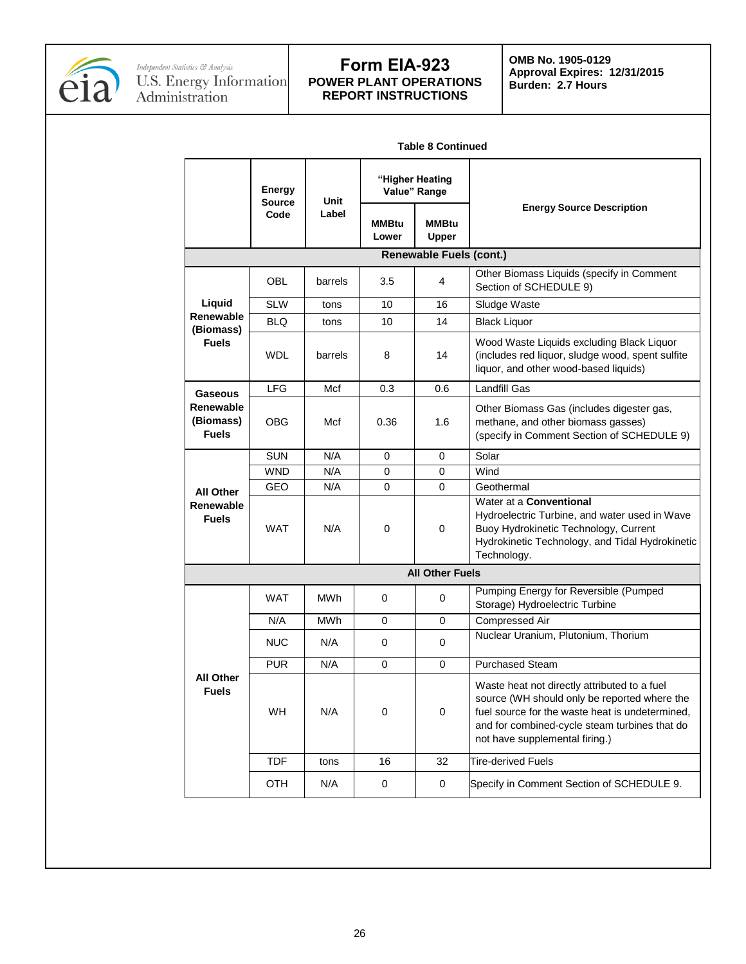

**OMB No. 1905-0129 Approval Expires: 12/31/2015 Burden: 2.7 Hours**

| Table o Continued                      |                         |            |                                 |                                |                                                                                                                                                                                                                                    |  |
|----------------------------------------|-------------------------|------------|---------------------------------|--------------------------------|------------------------------------------------------------------------------------------------------------------------------------------------------------------------------------------------------------------------------------|--|
|                                        | Energy<br><b>Source</b> | Unit       | "Higher Heating<br>Value" Range |                                |                                                                                                                                                                                                                                    |  |
|                                        | Code                    | Label      | MMBtu<br>Lower                  | <b>MMBtu</b><br><b>Upper</b>   | <b>Energy Source Description</b>                                                                                                                                                                                                   |  |
|                                        |                         |            |                                 | <b>Renewable Fuels (cont.)</b> |                                                                                                                                                                                                                                    |  |
|                                        | OBL                     | barrels    | 3.5                             | 4                              | Other Biomass Liquids (specify in Comment<br>Section of SCHEDULE 9)                                                                                                                                                                |  |
| Liquid                                 | <b>SLW</b>              | tons       | 10                              | 16                             | Sludge Waste                                                                                                                                                                                                                       |  |
| Renewable                              | <b>BLQ</b>              | tons       | 10                              | 14                             | <b>Black Liquor</b>                                                                                                                                                                                                                |  |
| (Biomass)<br><b>Fuels</b>              | <b>WDL</b>              | barrels    | 8                               | 14                             | Wood Waste Liquids excluding Black Liquor<br>(includes red liquor, sludge wood, spent sulfite<br>liquor, and other wood-based liquids)                                                                                             |  |
| <b>Gaseous</b>                         | <b>LFG</b>              | Mcf        | 0.3                             | 0.6                            | <b>Landfill Gas</b>                                                                                                                                                                                                                |  |
| Renewable<br>(Biomass)<br><b>Fuels</b> | <b>OBG</b>              | Mcf        | 0.36                            | 1.6                            | Other Biomass Gas (includes digester gas,<br>methane, and other biomass gasses)<br>(specify in Comment Section of SCHEDULE 9)                                                                                                      |  |
|                                        | <b>SUN</b>              | N/A        | 0                               | 0                              | Solar                                                                                                                                                                                                                              |  |
|                                        | <b>WND</b>              | N/A        | 0                               | 0                              | Wind                                                                                                                                                                                                                               |  |
| <b>All Other</b>                       | <b>GEO</b>              | N/A        | 0                               | 0                              | Geothermal                                                                                                                                                                                                                         |  |
| Renewable<br><b>Fuels</b>              | <b>WAT</b>              | N/A        | 0                               | 0                              | Water at a <b>Conventional</b><br>Hydroelectric Turbine, and water used in Wave<br>Buoy Hydrokinetic Technology, Current<br>Hydrokinetic Technology, and Tidal Hydrokinetic<br>Technology.                                         |  |
| <b>All Other Fuels</b>                 |                         |            |                                 |                                |                                                                                                                                                                                                                                    |  |
|                                        | <b>WAT</b>              | MWh        | 0                               | 0                              | Pumping Energy for Reversible (Pumped<br>Storage) Hydroelectric Turbine                                                                                                                                                            |  |
|                                        | N/A                     | <b>MWh</b> | 0                               | 0                              | Compressed Air                                                                                                                                                                                                                     |  |
|                                        | <b>NUC</b>              | N/A        | 0                               | 0                              | Nuclear Uranium, Plutonium, Thorium                                                                                                                                                                                                |  |
|                                        | <b>PUR</b>              | N/A        | 0                               | 0                              | <b>Purchased Steam</b>                                                                                                                                                                                                             |  |
| <b>All Other</b><br><b>Fuels</b>       | <b>WH</b>               | N/A        | 0                               | 0                              | Waste heat not directly attributed to a fuel<br>source (WH should only be reported where the<br>fuel source for the waste heat is undetermined,<br>and for combined-cycle steam turbines that do<br>not have supplemental firing.) |  |
|                                        | <b>TDF</b>              | tons       | 16                              | 32                             | <b>Tire-derived Fuels</b>                                                                                                                                                                                                          |  |
|                                        | OTH                     | N/A        | 0                               | 0                              | Specify in Comment Section of SCHEDULE 9.                                                                                                                                                                                          |  |

**Table 8 Continued**